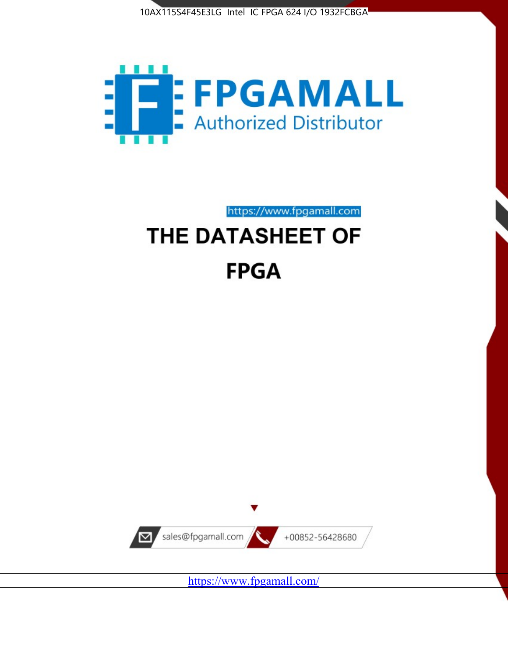



https://www.fpgamall.com

# THE DATASHEET OF **FPGA**



<https://www.fpgamall.com/>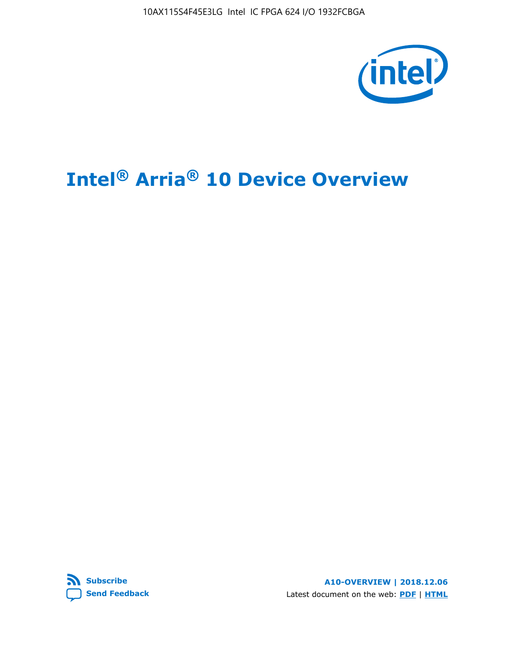10AX115S4F45E3LG Intel IC FPGA 624 I/O 1932FCBGA



# **Intel® Arria® 10 Device Overview**



**A10-OVERVIEW | 2018.12.06** Latest document on the web: **[PDF](https://www.intel.com/content/dam/www/programmable/us/en/pdfs/literature/hb/arria-10/a10_overview.pdf)** | **[HTML](https://www.intel.com/content/www/us/en/programmable/documentation/sam1403480274650.html)**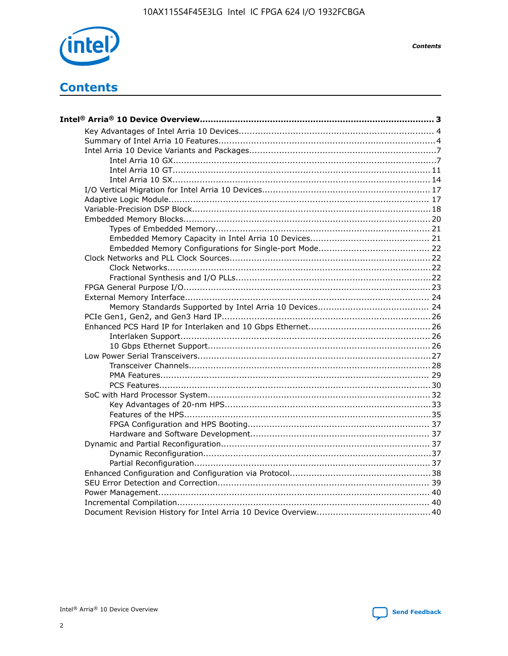

**Contents** 

# **Contents**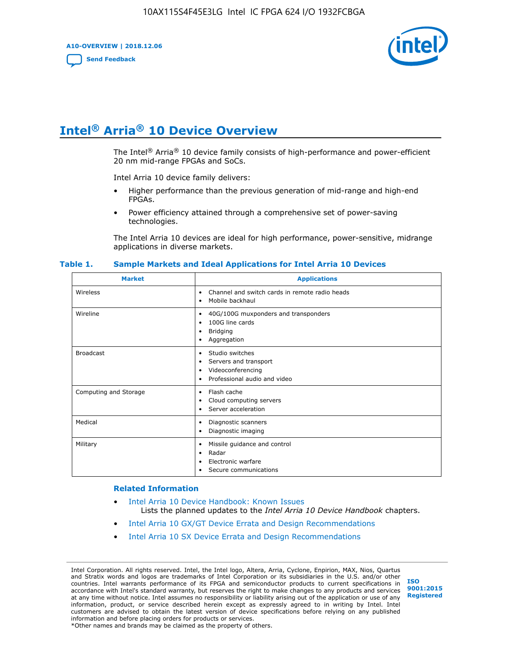**A10-OVERVIEW | 2018.12.06**

**[Send Feedback](mailto:FPGAtechdocfeedback@intel.com?subject=Feedback%20on%20Intel%20Arria%2010%20Device%20Overview%20(A10-OVERVIEW%202018.12.06)&body=We%20appreciate%20your%20feedback.%20In%20your%20comments,%20also%20specify%20the%20page%20number%20or%20paragraph.%20Thank%20you.)**



# **Intel® Arria® 10 Device Overview**

The Intel<sup>®</sup> Arria<sup>®</sup> 10 device family consists of high-performance and power-efficient 20 nm mid-range FPGAs and SoCs.

Intel Arria 10 device family delivers:

- Higher performance than the previous generation of mid-range and high-end FPGAs.
- Power efficiency attained through a comprehensive set of power-saving technologies.

The Intel Arria 10 devices are ideal for high performance, power-sensitive, midrange applications in diverse markets.

| <b>Market</b>         | <b>Applications</b>                                                                                               |
|-----------------------|-------------------------------------------------------------------------------------------------------------------|
| Wireless              | Channel and switch cards in remote radio heads<br>٠<br>Mobile backhaul<br>٠                                       |
| Wireline              | 40G/100G muxponders and transponders<br>٠<br>100G line cards<br>٠<br><b>Bridging</b><br>٠<br>Aggregation<br>٠     |
| <b>Broadcast</b>      | Studio switches<br>٠<br>Servers and transport<br>٠<br>Videoconferencing<br>٠<br>Professional audio and video<br>٠ |
| Computing and Storage | Flash cache<br>٠<br>Cloud computing servers<br>٠<br>Server acceleration<br>٠                                      |
| Medical               | Diagnostic scanners<br>٠<br>Diagnostic imaging<br>٠                                                               |
| Military              | Missile guidance and control<br>٠<br>Radar<br>٠<br>Electronic warfare<br>٠<br>Secure communications<br>٠          |

#### **Table 1. Sample Markets and Ideal Applications for Intel Arria 10 Devices**

#### **Related Information**

- [Intel Arria 10 Device Handbook: Known Issues](http://www.altera.com/support/kdb/solutions/rd07302013_646.html) Lists the planned updates to the *Intel Arria 10 Device Handbook* chapters.
- [Intel Arria 10 GX/GT Device Errata and Design Recommendations](https://www.intel.com/content/www/us/en/programmable/documentation/agz1493851706374.html#yqz1494433888646)
- [Intel Arria 10 SX Device Errata and Design Recommendations](https://www.intel.com/content/www/us/en/programmable/documentation/cru1462832385668.html#cru1462832558642)

Intel Corporation. All rights reserved. Intel, the Intel logo, Altera, Arria, Cyclone, Enpirion, MAX, Nios, Quartus and Stratix words and logos are trademarks of Intel Corporation or its subsidiaries in the U.S. and/or other countries. Intel warrants performance of its FPGA and semiconductor products to current specifications in accordance with Intel's standard warranty, but reserves the right to make changes to any products and services at any time without notice. Intel assumes no responsibility or liability arising out of the application or use of any information, product, or service described herein except as expressly agreed to in writing by Intel. Intel customers are advised to obtain the latest version of device specifications before relying on any published information and before placing orders for products or services. \*Other names and brands may be claimed as the property of others.

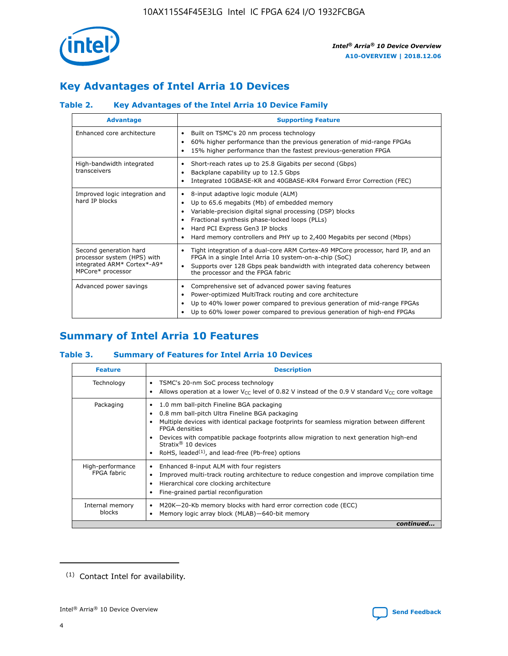

# **Key Advantages of Intel Arria 10 Devices**

## **Table 2. Key Advantages of the Intel Arria 10 Device Family**

| <b>Advantage</b>                                                                                          | <b>Supporting Feature</b>                                                                                                                                                                                                                                                                                                |
|-----------------------------------------------------------------------------------------------------------|--------------------------------------------------------------------------------------------------------------------------------------------------------------------------------------------------------------------------------------------------------------------------------------------------------------------------|
| Enhanced core architecture                                                                                | Built on TSMC's 20 nm process technology<br>٠<br>60% higher performance than the previous generation of mid-range FPGAs<br>٠<br>15% higher performance than the fastest previous-generation FPGA<br>٠                                                                                                                    |
| High-bandwidth integrated<br>transceivers                                                                 | Short-reach rates up to 25.8 Gigabits per second (Gbps)<br>٠<br>Backplane capability up to 12.5 Gbps<br>٠<br>Integrated 10GBASE-KR and 40GBASE-KR4 Forward Error Correction (FEC)<br>٠                                                                                                                                   |
| Improved logic integration and<br>hard IP blocks                                                          | 8-input adaptive logic module (ALM)<br>٠<br>Up to 65.6 megabits (Mb) of embedded memory<br>٠<br>Variable-precision digital signal processing (DSP) blocks<br>Fractional synthesis phase-locked loops (PLLs)<br>Hard PCI Express Gen3 IP blocks<br>Hard memory controllers and PHY up to 2,400 Megabits per second (Mbps) |
| Second generation hard<br>processor system (HPS) with<br>integrated ARM* Cortex*-A9*<br>MPCore* processor | Tight integration of a dual-core ARM Cortex-A9 MPCore processor, hard IP, and an<br>٠<br>FPGA in a single Intel Arria 10 system-on-a-chip (SoC)<br>Supports over 128 Gbps peak bandwidth with integrated data coherency between<br>$\bullet$<br>the processor and the FPGA fabric                                        |
| Advanced power savings                                                                                    | Comprehensive set of advanced power saving features<br>٠<br>Power-optimized MultiTrack routing and core architecture<br>٠<br>Up to 40% lower power compared to previous generation of mid-range FPGAs<br>Up to 60% lower power compared to previous generation of high-end FPGAs                                         |

# **Summary of Intel Arria 10 Features**

## **Table 3. Summary of Features for Intel Arria 10 Devices**

| <b>Feature</b>                  | <b>Description</b>                                                                                                                                                                                                                                                                                                                                                                                           |
|---------------------------------|--------------------------------------------------------------------------------------------------------------------------------------------------------------------------------------------------------------------------------------------------------------------------------------------------------------------------------------------------------------------------------------------------------------|
| Technology                      | TSMC's 20-nm SoC process technology<br>Allows operation at a lower $V_{\text{CC}}$ level of 0.82 V instead of the 0.9 V standard $V_{\text{CC}}$ core voltage                                                                                                                                                                                                                                                |
| Packaging                       | 1.0 mm ball-pitch Fineline BGA packaging<br>٠<br>0.8 mm ball-pitch Ultra Fineline BGA packaging<br>Multiple devices with identical package footprints for seamless migration between different<br><b>FPGA</b> densities<br>Devices with compatible package footprints allow migration to next generation high-end<br>Stratix <sup>®</sup> 10 devices<br>RoHS, leaded $(1)$ , and lead-free (Pb-free) options |
| High-performance<br>FPGA fabric | Enhanced 8-input ALM with four registers<br>Improved multi-track routing architecture to reduce congestion and improve compilation time<br>Hierarchical core clocking architecture<br>Fine-grained partial reconfiguration                                                                                                                                                                                   |
| Internal memory<br>blocks       | M20K-20-Kb memory blocks with hard error correction code (ECC)<br>Memory logic array block (MLAB)-640-bit memory                                                                                                                                                                                                                                                                                             |
|                                 | continued                                                                                                                                                                                                                                                                                                                                                                                                    |



<sup>(1)</sup> Contact Intel for availability.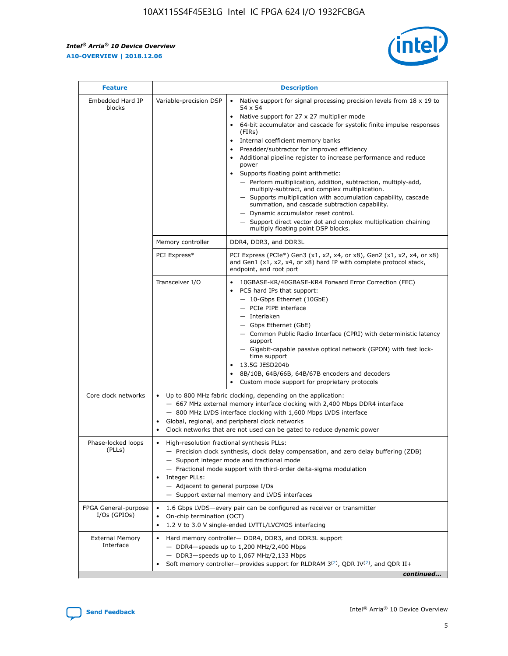r



| <b>Feature</b>                         | <b>Description</b>                                                                                             |                                                                                                                                                                                                                                                                                                                                                                                                                                                                                                                                                                                                                                                                                                                                                                                                                                                                  |  |  |  |  |  |
|----------------------------------------|----------------------------------------------------------------------------------------------------------------|------------------------------------------------------------------------------------------------------------------------------------------------------------------------------------------------------------------------------------------------------------------------------------------------------------------------------------------------------------------------------------------------------------------------------------------------------------------------------------------------------------------------------------------------------------------------------------------------------------------------------------------------------------------------------------------------------------------------------------------------------------------------------------------------------------------------------------------------------------------|--|--|--|--|--|
| Embedded Hard IP<br>blocks             | Variable-precision DSP                                                                                         | Native support for signal processing precision levels from $18 \times 19$ to<br>$\bullet$<br>54 x 54<br>Native support for 27 x 27 multiplier mode<br>$\bullet$<br>64-bit accumulator and cascade for systolic finite impulse responses<br>(FIRs)<br>Internal coefficient memory banks<br>$\bullet$<br>Preadder/subtractor for improved efficiency<br>Additional pipeline register to increase performance and reduce<br>power<br>Supports floating point arithmetic:<br>- Perform multiplication, addition, subtraction, multiply-add,<br>multiply-subtract, and complex multiplication.<br>- Supports multiplication with accumulation capability, cascade<br>summation, and cascade subtraction capability.<br>- Dynamic accumulator reset control.<br>- Support direct vector dot and complex multiplication chaining<br>multiply floating point DSP blocks. |  |  |  |  |  |
|                                        | Memory controller                                                                                              | DDR4, DDR3, and DDR3L                                                                                                                                                                                                                                                                                                                                                                                                                                                                                                                                                                                                                                                                                                                                                                                                                                            |  |  |  |  |  |
|                                        | PCI Express*                                                                                                   | PCI Express (PCIe*) Gen3 (x1, x2, x4, or x8), Gen2 (x1, x2, x4, or x8)<br>and Gen1 (x1, x2, x4, or x8) hard IP with complete protocol stack,<br>endpoint, and root port                                                                                                                                                                                                                                                                                                                                                                                                                                                                                                                                                                                                                                                                                          |  |  |  |  |  |
|                                        | Transceiver I/O                                                                                                | 10GBASE-KR/40GBASE-KR4 Forward Error Correction (FEC)<br>PCS hard IPs that support:<br>- 10-Gbps Ethernet (10GbE)<br>- PCIe PIPE interface<br>- Interlaken<br>- Gbps Ethernet (GbE)<br>- Common Public Radio Interface (CPRI) with deterministic latency<br>support<br>- Gigabit-capable passive optical network (GPON) with fast lock-<br>time support<br>13.5G JESD204b<br>$\bullet$<br>8B/10B, 64B/66B, 64B/67B encoders and decoders<br>Custom mode support for proprietary protocols                                                                                                                                                                                                                                                                                                                                                                        |  |  |  |  |  |
| Core clock networks                    | $\bullet$                                                                                                      | Up to 800 MHz fabric clocking, depending on the application:<br>- 667 MHz external memory interface clocking with 2,400 Mbps DDR4 interface<br>- 800 MHz LVDS interface clocking with 1,600 Mbps LVDS interface<br>Global, regional, and peripheral clock networks<br>Clock networks that are not used can be gated to reduce dynamic power                                                                                                                                                                                                                                                                                                                                                                                                                                                                                                                      |  |  |  |  |  |
| Phase-locked loops<br>(PLLs)           | High-resolution fractional synthesis PLLs:<br>$\bullet$<br>Integer PLLs:<br>- Adjacent to general purpose I/Os | - Precision clock synthesis, clock delay compensation, and zero delay buffering (ZDB)<br>- Support integer mode and fractional mode<br>- Fractional mode support with third-order delta-sigma modulation<br>- Support external memory and LVDS interfaces                                                                                                                                                                                                                                                                                                                                                                                                                                                                                                                                                                                                        |  |  |  |  |  |
| FPGA General-purpose<br>$I/Os$ (GPIOs) | On-chip termination (OCT)<br>٠<br>$\bullet$                                                                    | 1.6 Gbps LVDS-every pair can be configured as receiver or transmitter<br>1.2 V to 3.0 V single-ended LVTTL/LVCMOS interfacing                                                                                                                                                                                                                                                                                                                                                                                                                                                                                                                                                                                                                                                                                                                                    |  |  |  |  |  |
| <b>External Memory</b><br>Interface    | $\bullet$                                                                                                      | Hard memory controller- DDR4, DDR3, and DDR3L support<br>$-$ DDR4-speeds up to 1,200 MHz/2,400 Mbps<br>- DDR3-speeds up to 1,067 MHz/2,133 Mbps<br>Soft memory controller—provides support for RLDRAM $3^{(2)}$ , QDR IV $^{(2)}$ , and QDR II+<br>continued                                                                                                                                                                                                                                                                                                                                                                                                                                                                                                                                                                                                     |  |  |  |  |  |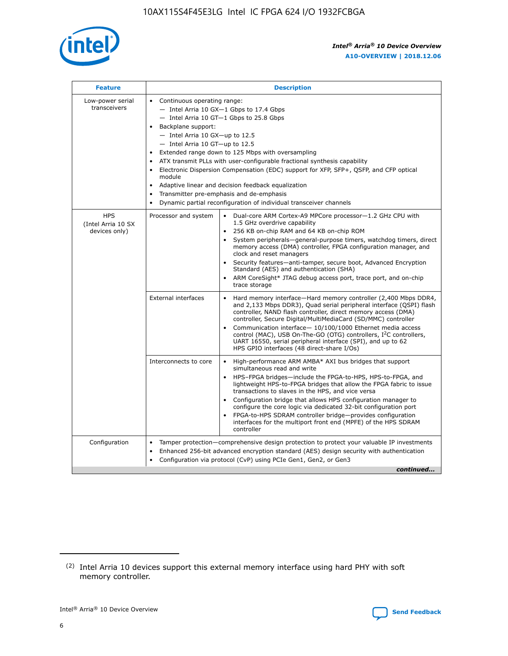

| <b>Feature</b>                                    | <b>Description</b>                                                                                                                                                                                                                                                                                                                                                                                                                                                                                                                                                                                                                           |
|---------------------------------------------------|----------------------------------------------------------------------------------------------------------------------------------------------------------------------------------------------------------------------------------------------------------------------------------------------------------------------------------------------------------------------------------------------------------------------------------------------------------------------------------------------------------------------------------------------------------------------------------------------------------------------------------------------|
| Low-power serial<br>transceivers                  | • Continuous operating range:<br>- Intel Arria 10 GX-1 Gbps to 17.4 Gbps<br>- Intel Arria 10 GT-1 Gbps to 25.8 Gbps<br>Backplane support:<br>$-$ Intel Arria 10 GX-up to 12.5<br>$-$ Intel Arria 10 GT-up to 12.5<br>Extended range down to 125 Mbps with oversampling<br>ATX transmit PLLs with user-configurable fractional synthesis capability<br>Electronic Dispersion Compensation (EDC) support for XFP, SFP+, QSFP, and CFP optical<br>module<br>• Adaptive linear and decision feedback equalization<br>Transmitter pre-emphasis and de-emphasis<br>$\bullet$<br>Dynamic partial reconfiguration of individual transceiver channels |
| <b>HPS</b><br>(Intel Arria 10 SX<br>devices only) | Dual-core ARM Cortex-A9 MPCore processor-1.2 GHz CPU with<br>Processor and system<br>$\bullet$<br>1.5 GHz overdrive capability<br>256 KB on-chip RAM and 64 KB on-chip ROM<br>System peripherals-general-purpose timers, watchdog timers, direct<br>memory access (DMA) controller, FPGA configuration manager, and<br>clock and reset managers<br>Security features-anti-tamper, secure boot, Advanced Encryption<br>$\bullet$<br>Standard (AES) and authentication (SHA)<br>ARM CoreSight* JTAG debug access port, trace port, and on-chip<br>trace storage                                                                                |
|                                                   | <b>External interfaces</b><br>Hard memory interface-Hard memory controller (2,400 Mbps DDR4,<br>$\bullet$<br>and 2,133 Mbps DDR3), Quad serial peripheral interface (QSPI) flash<br>controller, NAND flash controller, direct memory access (DMA)<br>controller, Secure Digital/MultiMediaCard (SD/MMC) controller<br>Communication interface-10/100/1000 Ethernet media access<br>$\bullet$<br>control (MAC), USB On-The-GO (OTG) controllers, I <sup>2</sup> C controllers,<br>UART 16550, serial peripheral interface (SPI), and up to 62<br>HPS GPIO interfaces (48 direct-share I/Os)                                                   |
|                                                   | High-performance ARM AMBA* AXI bus bridges that support<br>Interconnects to core<br>$\bullet$<br>simultaneous read and write<br>HPS-FPGA bridges-include the FPGA-to-HPS, HPS-to-FPGA, and<br>$\bullet$<br>lightweight HPS-to-FPGA bridges that allow the FPGA fabric to issue<br>transactions to slaves in the HPS, and vice versa<br>Configuration bridge that allows HPS configuration manager to<br>configure the core logic via dedicated 32-bit configuration port<br>FPGA-to-HPS SDRAM controller bridge-provides configuration<br>interfaces for the multiport front end (MPFE) of the HPS SDRAM<br>controller                       |
| Configuration                                     | Tamper protection—comprehensive design protection to protect your valuable IP investments<br>Enhanced 256-bit advanced encryption standard (AES) design security with authentication<br>٠<br>Configuration via protocol (CvP) using PCIe Gen1, Gen2, or Gen3<br>continued                                                                                                                                                                                                                                                                                                                                                                    |

<sup>(2)</sup> Intel Arria 10 devices support this external memory interface using hard PHY with soft memory controller.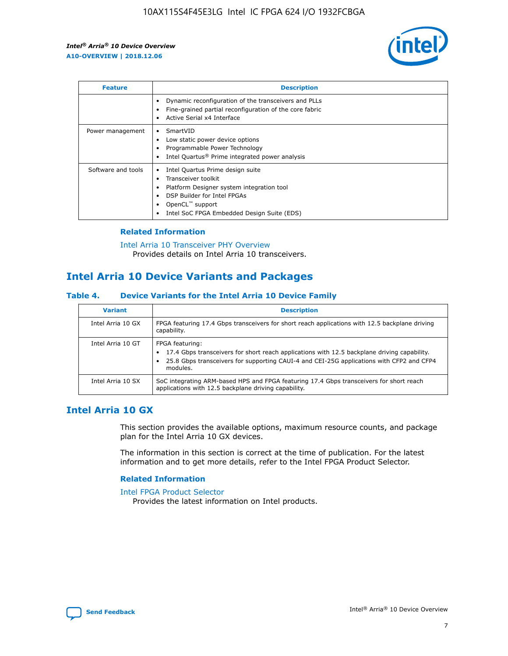

| <b>Feature</b>     | <b>Description</b>                                                                                                                                                                                               |
|--------------------|------------------------------------------------------------------------------------------------------------------------------------------------------------------------------------------------------------------|
|                    | Dynamic reconfiguration of the transceivers and PLLs<br>Fine-grained partial reconfiguration of the core fabric<br>Active Serial x4 Interface<br>$\bullet$                                                       |
| Power management   | SmartVID<br>Low static power device options<br>Programmable Power Technology<br>Intel Quartus <sup>®</sup> Prime integrated power analysis                                                                       |
| Software and tools | Intel Quartus Prime design suite<br>Transceiver toolkit<br>Platform Designer system integration tool<br>DSP Builder for Intel FPGAs<br>OpenCL <sup>™</sup> support<br>Intel SoC FPGA Embedded Design Suite (EDS) |

## **Related Information**

[Intel Arria 10 Transceiver PHY Overview](https://www.intel.com/content/www/us/en/programmable/documentation/nik1398707230472.html#nik1398706768037) Provides details on Intel Arria 10 transceivers.

## **Intel Arria 10 Device Variants and Packages**

#### **Table 4. Device Variants for the Intel Arria 10 Device Family**

| <b>Variant</b>    | <b>Description</b>                                                                                                                                                                                                     |
|-------------------|------------------------------------------------------------------------------------------------------------------------------------------------------------------------------------------------------------------------|
| Intel Arria 10 GX | FPGA featuring 17.4 Gbps transceivers for short reach applications with 12.5 backplane driving<br>capability.                                                                                                          |
| Intel Arria 10 GT | FPGA featuring:<br>17.4 Gbps transceivers for short reach applications with 12.5 backplane driving capability.<br>25.8 Gbps transceivers for supporting CAUI-4 and CEI-25G applications with CFP2 and CFP4<br>modules. |
| Intel Arria 10 SX | SoC integrating ARM-based HPS and FPGA featuring 17.4 Gbps transceivers for short reach<br>applications with 12.5 backplane driving capability.                                                                        |

## **Intel Arria 10 GX**

This section provides the available options, maximum resource counts, and package plan for the Intel Arria 10 GX devices.

The information in this section is correct at the time of publication. For the latest information and to get more details, refer to the Intel FPGA Product Selector.

#### **Related Information**

#### [Intel FPGA Product Selector](http://www.altera.com/products/selector/psg-selector.html) Provides the latest information on Intel products.

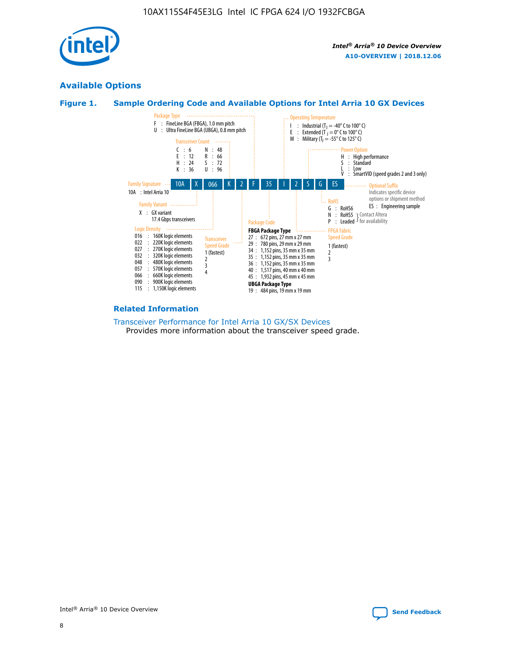

## **Available Options**





#### **Related Information**

[Transceiver Performance for Intel Arria 10 GX/SX Devices](https://www.intel.com/content/www/us/en/programmable/documentation/mcn1413182292568.html#mcn1413213965502) Provides more information about the transceiver speed grade.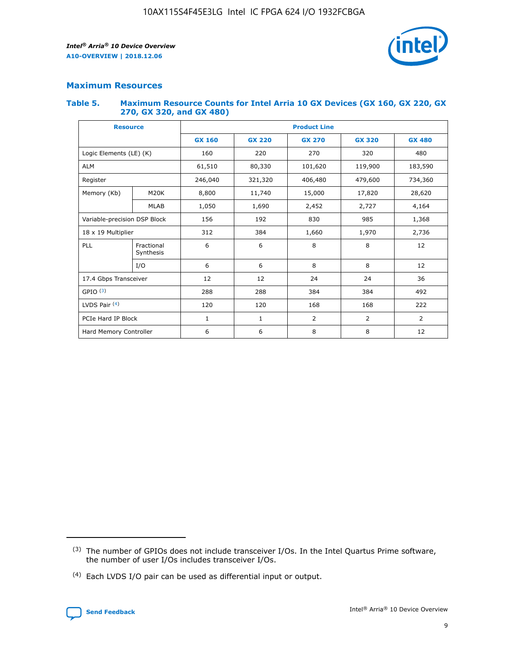

## **Maximum Resources**

#### **Table 5. Maximum Resource Counts for Intel Arria 10 GX Devices (GX 160, GX 220, GX 270, GX 320, and GX 480)**

| <b>Resource</b>         |                                     | <b>Product Line</b> |                    |                |                |                |  |  |  |
|-------------------------|-------------------------------------|---------------------|--------------------|----------------|----------------|----------------|--|--|--|
|                         |                                     | <b>GX 160</b>       | <b>GX 220</b>      | <b>GX 270</b>  | <b>GX 320</b>  | <b>GX 480</b>  |  |  |  |
| Logic Elements (LE) (K) |                                     | 160                 | 220                | 270            | 320            | 480            |  |  |  |
| <b>ALM</b>              |                                     | 61,510              | 80,330             | 101,620        | 119,900        | 183,590        |  |  |  |
| Register                |                                     | 246,040             | 406,480<br>321,320 |                | 479,600        | 734,360        |  |  |  |
| Memory (Kb)             | M <sub>20</sub> K                   | 8,800<br>11,740     |                    | 15,000         | 17,820         | 28,620         |  |  |  |
| <b>MLAB</b>             |                                     | 1,050               | 1,690              | 2,452          | 2,727          | 4,164          |  |  |  |
|                         | Variable-precision DSP Block<br>156 |                     |                    | 830<br>985     |                | 1,368          |  |  |  |
| 18 x 19 Multiplier      |                                     | 312                 | 384                | 1,970<br>1,660 |                | 2,736          |  |  |  |
| PLL                     | Fractional<br>Synthesis             | 6                   | 6                  | 8              | 8              | 12             |  |  |  |
|                         | I/O                                 | 6                   | 6                  | 8              | 8              | 12             |  |  |  |
| 17.4 Gbps Transceiver   |                                     | 12                  | 12                 | 24             | 24             | 36             |  |  |  |
| GPIO <sup>(3)</sup>     |                                     | 288                 | 288<br>384<br>384  |                |                | 492            |  |  |  |
| LVDS Pair $(4)$         |                                     | 120                 | 120                | 168            | 168            | 222            |  |  |  |
| PCIe Hard IP Block      |                                     | 1                   | 1                  | 2              | $\overline{2}$ | $\overline{2}$ |  |  |  |
| Hard Memory Controller  |                                     | 6                   | 6                  | 8              | 8              | 12             |  |  |  |

<sup>(4)</sup> Each LVDS I/O pair can be used as differential input or output.



<sup>(3)</sup> The number of GPIOs does not include transceiver I/Os. In the Intel Quartus Prime software, the number of user I/Os includes transceiver I/Os.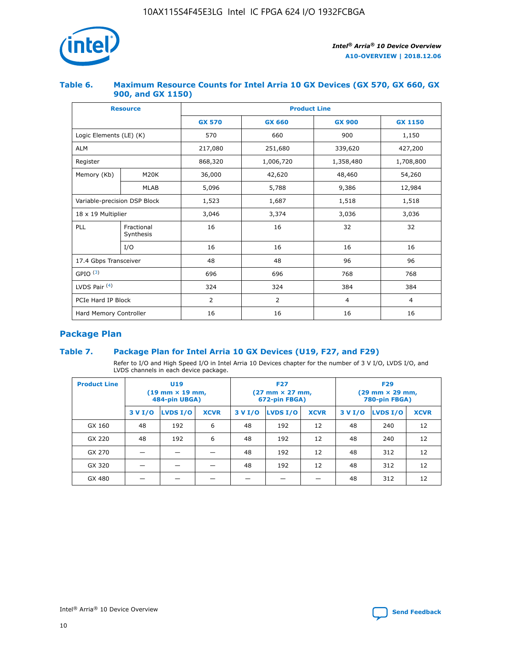

## **Table 6. Maximum Resource Counts for Intel Arria 10 GX Devices (GX 570, GX 660, GX 900, and GX 1150)**

|                              | <b>Resource</b>         | <b>Product Line</b> |                |                |                |  |  |  |
|------------------------------|-------------------------|---------------------|----------------|----------------|----------------|--|--|--|
|                              |                         | <b>GX 570</b>       | <b>GX 660</b>  | <b>GX 900</b>  | <b>GX 1150</b> |  |  |  |
| Logic Elements (LE) (K)      |                         | 570                 | 660            | 900            | 1,150          |  |  |  |
| <b>ALM</b>                   |                         | 217,080             | 251,680        | 339,620        | 427,200        |  |  |  |
| Register                     |                         | 868,320             | 1,006,720      | 1,358,480      | 1,708,800      |  |  |  |
| Memory (Kb)                  | <b>M20K</b>             | 36,000              | 42,620         | 48,460         | 54,260         |  |  |  |
| <b>MLAB</b>                  |                         | 5,096               | 5,788<br>9,386 |                | 12,984         |  |  |  |
| Variable-precision DSP Block |                         | 1,523               | 1,687          | 1,518          | 1,518          |  |  |  |
| $18 \times 19$ Multiplier    |                         | 3,046               | 3,374          | 3,036          | 3,036          |  |  |  |
| PLL                          | Fractional<br>Synthesis | 16                  | 16             | 32             | 32             |  |  |  |
|                              | I/O                     | 16                  | 16             | 16             | 16             |  |  |  |
| 17.4 Gbps Transceiver        |                         | 48                  | 48             | 96             | 96             |  |  |  |
| GPIO <sup>(3)</sup>          |                         | 696                 | 696            | 768            | 768            |  |  |  |
| LVDS Pair $(4)$              |                         | 324                 | 324            | 384            | 384            |  |  |  |
| PCIe Hard IP Block           |                         | 2                   | $\overline{2}$ | $\overline{4}$ | $\overline{4}$ |  |  |  |
| Hard Memory Controller       |                         | 16                  | 16             | 16             | 16             |  |  |  |

## **Package Plan**

## **Table 7. Package Plan for Intel Arria 10 GX Devices (U19, F27, and F29)**

Refer to I/O and High Speed I/O in Intel Arria 10 Devices chapter for the number of 3 V I/O, LVDS I/O, and LVDS channels in each device package.

| <b>Product Line</b> |         | U <sub>19</sub><br>$(19 \text{ mm} \times 19 \text{ mm})$<br>484-pin UBGA) |             | <b>F27</b><br>(27 mm × 27 mm,<br>672-pin FBGA) |          |             | <b>F29</b><br>(29 mm × 29 mm,<br>780-pin FBGA) |          |             |
|---------------------|---------|----------------------------------------------------------------------------|-------------|------------------------------------------------|----------|-------------|------------------------------------------------|----------|-------------|
|                     | 3 V I/O | LVDS I/O                                                                   | <b>XCVR</b> | 3 V I/O                                        | LVDS I/O | <b>XCVR</b> | 3 V I/O                                        | LVDS I/O | <b>XCVR</b> |
| GX 160              | 48      | 192                                                                        | 6           | 48                                             | 192      | 12          | 48                                             | 240      | 12          |
| GX 220              | 48      | 192                                                                        | 6           | 48                                             | 192      | 12          | 48                                             | 240      | 12          |
| GX 270              |         |                                                                            |             | 48                                             | 192      | 12          | 48                                             | 312      | 12          |
| GX 320              |         |                                                                            |             | 48                                             | 192      | 12          | 48                                             | 312      | 12          |
| GX 480              |         |                                                                            |             |                                                |          |             | 48                                             | 312      | 12          |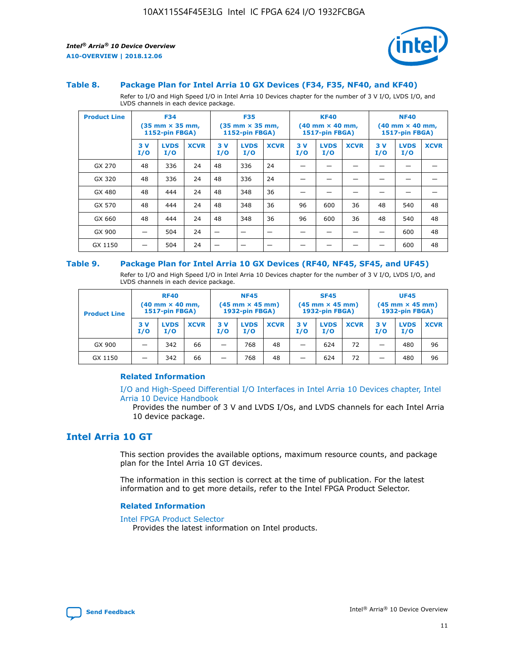

#### **Table 8. Package Plan for Intel Arria 10 GX Devices (F34, F35, NF40, and KF40)**

Refer to I/O and High Speed I/O in Intel Arria 10 Devices chapter for the number of 3 V I/O, LVDS I/O, and LVDS channels in each device package.

| <b>Product Line</b> |           | <b>F34</b><br>$(35 \text{ mm} \times 35 \text{ mm})$<br>1152-pin FBGA) |             |           | <b>F35</b><br>$(35 \text{ mm} \times 35 \text{ mm})$<br><b>1152-pin FBGA)</b> |             | <b>KF40</b><br>$(40$ mm $\times$ 40 mm,<br>1517-pin FBGA) |                    | <b>NF40</b><br>$(40$ mm $\times$ 40 mm,<br><b>1517-pin FBGA)</b> |            |                    |             |
|---------------------|-----------|------------------------------------------------------------------------|-------------|-----------|-------------------------------------------------------------------------------|-------------|-----------------------------------------------------------|--------------------|------------------------------------------------------------------|------------|--------------------|-------------|
|                     | 3V<br>I/O | <b>LVDS</b><br>I/O                                                     | <b>XCVR</b> | 3V<br>I/O | <b>LVDS</b><br>I/O                                                            | <b>XCVR</b> | 3V<br>I/O                                                 | <b>LVDS</b><br>I/O | <b>XCVR</b>                                                      | 3 V<br>I/O | <b>LVDS</b><br>I/O | <b>XCVR</b> |
| GX 270              | 48        | 336                                                                    | 24          | 48        | 336                                                                           | 24          |                                                           |                    |                                                                  |            |                    |             |
| GX 320              | 48        | 336                                                                    | 24          | 48        | 336                                                                           | 24          |                                                           |                    |                                                                  |            |                    |             |
| GX 480              | 48        | 444                                                                    | 24          | 48        | 348                                                                           | 36          |                                                           |                    |                                                                  |            |                    |             |
| GX 570              | 48        | 444                                                                    | 24          | 48        | 348                                                                           | 36          | 96                                                        | 600                | 36                                                               | 48         | 540                | 48          |
| GX 660              | 48        | 444                                                                    | 24          | 48        | 348                                                                           | 36          | 96                                                        | 600                | 36                                                               | 48         | 540                | 48          |
| GX 900              |           | 504                                                                    | 24          | -         |                                                                               |             |                                                           |                    |                                                                  |            | 600                | 48          |
| GX 1150             |           | 504                                                                    | 24          |           |                                                                               |             |                                                           |                    |                                                                  |            | 600                | 48          |

#### **Table 9. Package Plan for Intel Arria 10 GX Devices (RF40, NF45, SF45, and UF45)**

Refer to I/O and High Speed I/O in Intel Arria 10 Devices chapter for the number of 3 V I/O, LVDS I/O, and LVDS channels in each device package.

| <b>Product Line</b> | <b>RF40</b><br>$(40$ mm $\times$ 40 mm,<br>1517-pin FBGA) |                    | <b>NF45</b><br>$(45 \text{ mm} \times 45 \text{ mm})$<br><b>1932-pin FBGA)</b> |            |                    | <b>SF45</b><br>$(45 \text{ mm} \times 45 \text{ mm})$<br><b>1932-pin FBGA)</b> |            |                    | <b>UF45</b><br>$(45 \text{ mm} \times 45 \text{ mm})$<br><b>1932-pin FBGA)</b> |           |                    |             |
|---------------------|-----------------------------------------------------------|--------------------|--------------------------------------------------------------------------------|------------|--------------------|--------------------------------------------------------------------------------|------------|--------------------|--------------------------------------------------------------------------------|-----------|--------------------|-------------|
|                     | 3V<br>I/O                                                 | <b>LVDS</b><br>I/O | <b>XCVR</b>                                                                    | 3 V<br>I/O | <b>LVDS</b><br>I/O | <b>XCVR</b>                                                                    | 3 V<br>I/O | <b>LVDS</b><br>I/O | <b>XCVR</b>                                                                    | 3V<br>I/O | <b>LVDS</b><br>I/O | <b>XCVR</b> |
| GX 900              |                                                           | 342                | 66                                                                             | _          | 768                | 48                                                                             |            | 624                | 72                                                                             |           | 480                | 96          |
| GX 1150             |                                                           | 342                | 66                                                                             | _          | 768                | 48                                                                             |            | 624                | 72                                                                             |           | 480                | 96          |

#### **Related Information**

[I/O and High-Speed Differential I/O Interfaces in Intel Arria 10 Devices chapter, Intel](https://www.intel.com/content/www/us/en/programmable/documentation/sam1403482614086.html#sam1403482030321) [Arria 10 Device Handbook](https://www.intel.com/content/www/us/en/programmable/documentation/sam1403482614086.html#sam1403482030321)

Provides the number of 3 V and LVDS I/Os, and LVDS channels for each Intel Arria 10 device package.

## **Intel Arria 10 GT**

This section provides the available options, maximum resource counts, and package plan for the Intel Arria 10 GT devices.

The information in this section is correct at the time of publication. For the latest information and to get more details, refer to the Intel FPGA Product Selector.

#### **Related Information**

#### [Intel FPGA Product Selector](http://www.altera.com/products/selector/psg-selector.html)

Provides the latest information on Intel products.

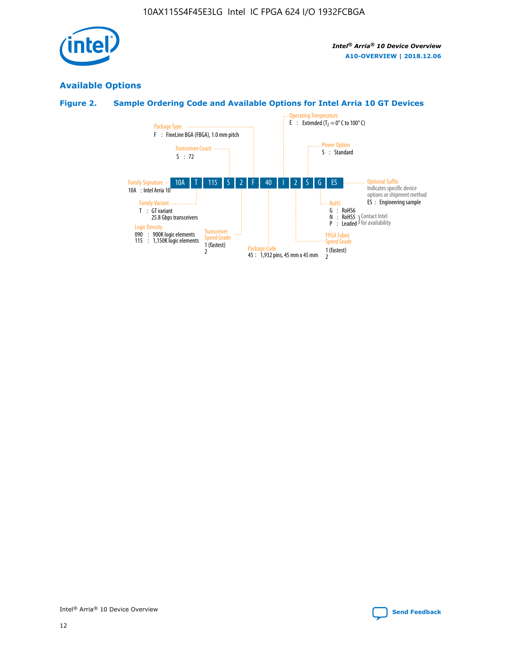

## **Available Options**

## **Figure 2. Sample Ordering Code and Available Options for Intel Arria 10 GT Devices**

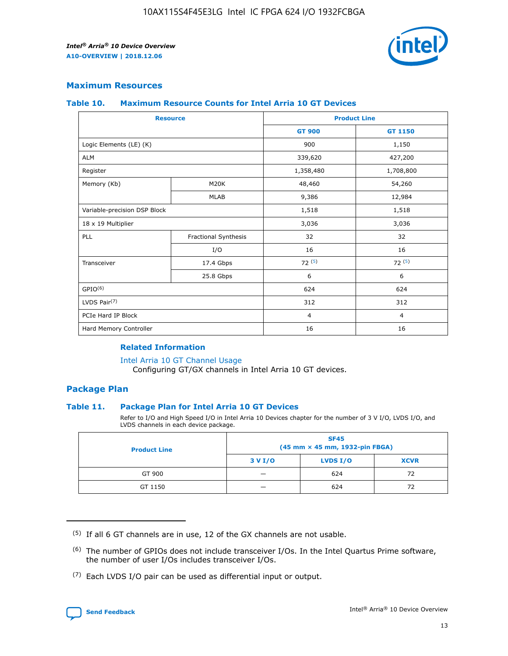

## **Maximum Resources**

#### **Table 10. Maximum Resource Counts for Intel Arria 10 GT Devices**

| <b>Resource</b>              |                      | <b>Product Line</b> |                |  |
|------------------------------|----------------------|---------------------|----------------|--|
|                              |                      | <b>GT 900</b>       | <b>GT 1150</b> |  |
| Logic Elements (LE) (K)      |                      | 900                 | 1,150          |  |
| <b>ALM</b>                   |                      | 339,620             | 427,200        |  |
| Register                     |                      | 1,358,480           | 1,708,800      |  |
| Memory (Kb)                  | M20K                 | 48,460              | 54,260         |  |
|                              | <b>MLAB</b>          | 9,386               | 12,984         |  |
| Variable-precision DSP Block |                      | 1,518               | 1,518          |  |
| 18 x 19 Multiplier           |                      | 3,036               | 3,036          |  |
| PLL                          | Fractional Synthesis | 32                  | 32             |  |
|                              | I/O                  | 16                  | 16             |  |
| Transceiver                  | 17.4 Gbps            | 72(5)               | 72(5)          |  |
|                              | 25.8 Gbps            | 6                   | 6              |  |
| GPIO <sup>(6)</sup>          |                      | 624                 | 624            |  |
| LVDS Pair $(7)$              |                      | 312                 | 312            |  |
| PCIe Hard IP Block           |                      | $\overline{4}$      | $\overline{4}$ |  |
| Hard Memory Controller       |                      | 16                  | 16             |  |

#### **Related Information**

#### [Intel Arria 10 GT Channel Usage](https://www.intel.com/content/www/us/en/programmable/documentation/nik1398707230472.html#nik1398707008178)

Configuring GT/GX channels in Intel Arria 10 GT devices.

## **Package Plan**

#### **Table 11. Package Plan for Intel Arria 10 GT Devices**

Refer to I/O and High Speed I/O in Intel Arria 10 Devices chapter for the number of 3 V I/O, LVDS I/O, and LVDS channels in each device package.

| <b>Product Line</b> | <b>SF45</b><br>(45 mm × 45 mm, 1932-pin FBGA) |                 |             |  |  |  |
|---------------------|-----------------------------------------------|-----------------|-------------|--|--|--|
|                     | 3 V I/O                                       | <b>LVDS I/O</b> | <b>XCVR</b> |  |  |  |
| GT 900              |                                               | 624             | 72          |  |  |  |
| GT 1150             |                                               | 624             | 72          |  |  |  |

<sup>(7)</sup> Each LVDS I/O pair can be used as differential input or output.



 $(5)$  If all 6 GT channels are in use, 12 of the GX channels are not usable.

<sup>(6)</sup> The number of GPIOs does not include transceiver I/Os. In the Intel Quartus Prime software, the number of user I/Os includes transceiver I/Os.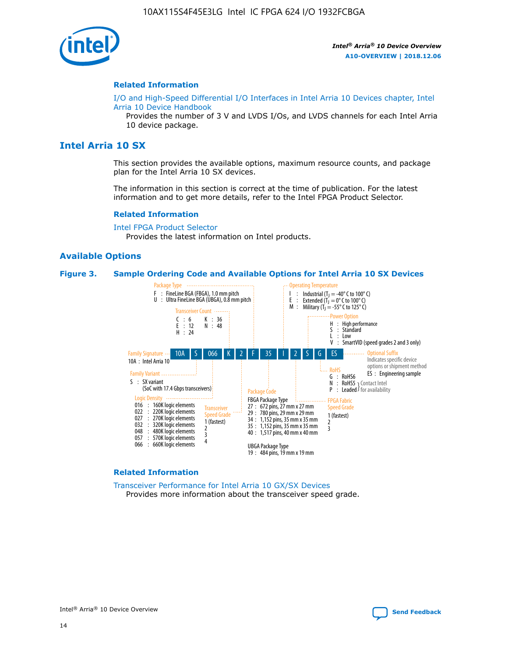

#### **Related Information**

[I/O and High-Speed Differential I/O Interfaces in Intel Arria 10 Devices chapter, Intel](https://www.intel.com/content/www/us/en/programmable/documentation/sam1403482614086.html#sam1403482030321) [Arria 10 Device Handbook](https://www.intel.com/content/www/us/en/programmable/documentation/sam1403482614086.html#sam1403482030321)

Provides the number of 3 V and LVDS I/Os, and LVDS channels for each Intel Arria 10 device package.

## **Intel Arria 10 SX**

This section provides the available options, maximum resource counts, and package plan for the Intel Arria 10 SX devices.

The information in this section is correct at the time of publication. For the latest information and to get more details, refer to the Intel FPGA Product Selector.

#### **Related Information**

[Intel FPGA Product Selector](http://www.altera.com/products/selector/psg-selector.html) Provides the latest information on Intel products.

#### **Available Options**

#### **Figure 3. Sample Ordering Code and Available Options for Intel Arria 10 SX Devices**



#### **Related Information**

[Transceiver Performance for Intel Arria 10 GX/SX Devices](https://www.intel.com/content/www/us/en/programmable/documentation/mcn1413182292568.html#mcn1413213965502) Provides more information about the transceiver speed grade.

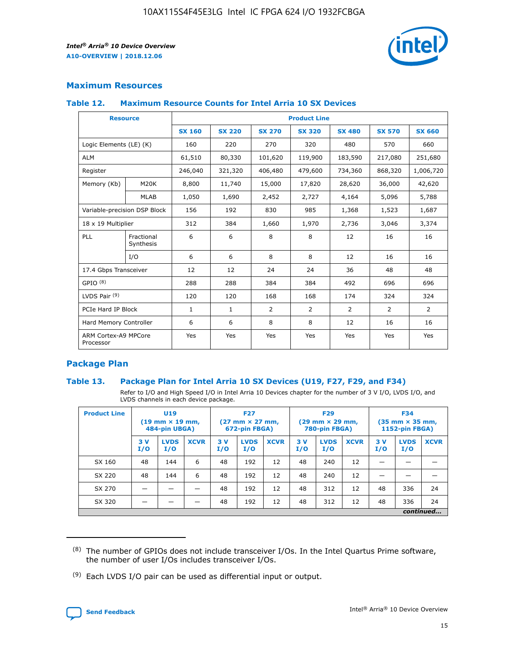

## **Maximum Resources**

#### **Table 12. Maximum Resource Counts for Intel Arria 10 SX Devices**

| <b>Resource</b>                   |                         | <b>Product Line</b> |               |                |                |               |                |               |  |  |  |
|-----------------------------------|-------------------------|---------------------|---------------|----------------|----------------|---------------|----------------|---------------|--|--|--|
|                                   |                         | <b>SX 160</b>       | <b>SX 220</b> | <b>SX 270</b>  | <b>SX 320</b>  | <b>SX 480</b> | <b>SX 570</b>  | <b>SX 660</b> |  |  |  |
| Logic Elements (LE) (K)           |                         | 160                 | 220           | 270            | 320            | 480           | 570            | 660           |  |  |  |
| <b>ALM</b>                        |                         | 61,510              | 80,330        | 101,620        | 119,900        | 183,590       | 217,080        | 251,680       |  |  |  |
| Register                          |                         | 246,040             | 321,320       | 406,480        | 479,600        | 734,360       | 868,320        | 1,006,720     |  |  |  |
| Memory (Kb)                       | M <sub>20</sub> K       | 8,800               | 11,740        | 15,000         | 17,820         | 28,620        | 36,000         | 42,620        |  |  |  |
|                                   | <b>MLAB</b>             | 1,050               | 1,690         | 2,452          | 2,727          | 4,164         | 5,096          | 5,788         |  |  |  |
| Variable-precision DSP Block      |                         | 156                 | 192           | 830            | 985            | 1,368         | 1,523          | 1,687         |  |  |  |
| 18 x 19 Multiplier                |                         | 312                 | 384           | 1,660          | 1,970          | 2,736         | 3,046          | 3,374         |  |  |  |
| PLL                               | Fractional<br>Synthesis | 6                   | 6             | 8              | 8              | 12            | 16             | 16            |  |  |  |
|                                   | I/O                     | 6                   | 6             | 8              | 8              | 12            | 16             | 16            |  |  |  |
| 17.4 Gbps Transceiver             |                         | 12                  | 12            | 24             | 24             | 36            | 48             | 48            |  |  |  |
| GPIO <sup>(8)</sup>               |                         | 288                 | 288           | 384            | 384            | 492           | 696            | 696           |  |  |  |
| LVDS Pair $(9)$                   |                         | 120                 | 120           | 168            | 168            | 174           | 324            | 324           |  |  |  |
| PCIe Hard IP Block                |                         | $\mathbf{1}$        | 1             | $\overline{2}$ | $\overline{2}$ | 2             | $\overline{2}$ | 2             |  |  |  |
| Hard Memory Controller            |                         | 6                   | 6             | 8              | 8              | 12            | 16             | 16            |  |  |  |
| ARM Cortex-A9 MPCore<br>Processor |                         | Yes                 | Yes           | Yes            | Yes            | Yes           | Yes            | Yes           |  |  |  |

## **Package Plan**

#### **Table 13. Package Plan for Intel Arria 10 SX Devices (U19, F27, F29, and F34)**

Refer to I/O and High Speed I/O in Intel Arria 10 Devices chapter for the number of 3 V I/O, LVDS I/O, and LVDS channels in each device package.

| <b>Product Line</b> | U <sub>19</sub><br>$(19 \text{ mm} \times 19 \text{ mm})$<br>484-pin UBGA) |                    |             | <b>F27</b><br>$(27 \text{ mm} \times 27 \text{ mm})$ .<br>672-pin FBGA) |                    | <b>F29</b><br>$(29 \text{ mm} \times 29 \text{ mm})$ .<br>780-pin FBGA) |            |                    | <b>F34</b><br>$(35 \text{ mm} \times 35 \text{ mm})$<br><b>1152-pin FBGA)</b> |           |                    |             |
|---------------------|----------------------------------------------------------------------------|--------------------|-------------|-------------------------------------------------------------------------|--------------------|-------------------------------------------------------------------------|------------|--------------------|-------------------------------------------------------------------------------|-----------|--------------------|-------------|
|                     | 3V<br>I/O                                                                  | <b>LVDS</b><br>I/O | <b>XCVR</b> | 3V<br>I/O                                                               | <b>LVDS</b><br>I/O | <b>XCVR</b>                                                             | 3 V<br>I/O | <b>LVDS</b><br>I/O | <b>XCVR</b>                                                                   | 3V<br>I/O | <b>LVDS</b><br>I/O | <b>XCVR</b> |
| SX 160              | 48                                                                         | 144                | 6           | 48                                                                      | 192                | 12                                                                      | 48         | 240                | 12                                                                            |           |                    |             |
| SX 220              | 48                                                                         | 144                | 6           | 48                                                                      | 192                | 12                                                                      | 48         | 240                | 12                                                                            |           |                    |             |
| SX 270              |                                                                            |                    |             | 48                                                                      | 192                | 12                                                                      | 48         | 312                | 12                                                                            | 48        | 336                | 24          |
| SX 320              |                                                                            |                    |             | 48                                                                      | 192                | 12                                                                      | 48         | 312                | 12                                                                            | 48        | 336                | 24          |
|                     | continued                                                                  |                    |             |                                                                         |                    |                                                                         |            |                    |                                                                               |           |                    |             |

 $(8)$  The number of GPIOs does not include transceiver I/Os. In the Intel Quartus Prime software, the number of user I/Os includes transceiver I/Os.

 $(9)$  Each LVDS I/O pair can be used as differential input or output.

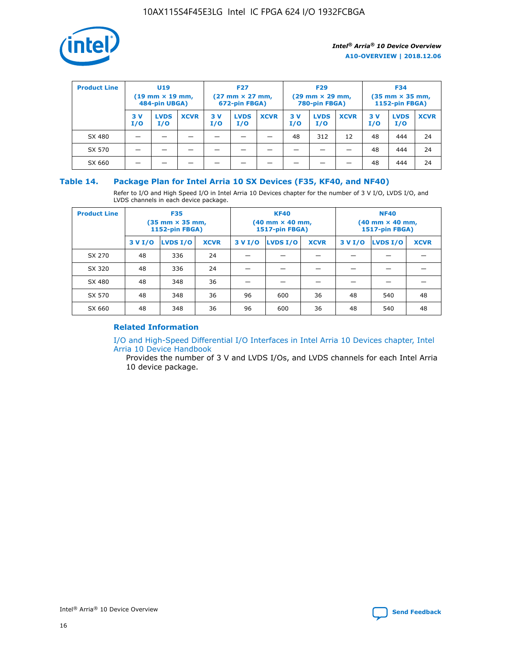

| <b>Product Line</b> | U <sub>19</sub><br>$(19 \text{ mm} \times 19 \text{ mm})$<br>484-pin UBGA) |                    | <b>F27</b><br>$(27 \text{ mm} \times 27 \text{ mm})$<br>672-pin FBGA) |           | <b>F29</b><br>$(29$ mm $\times$ 29 mm,<br>780-pin FBGA) |             |           | <b>F34</b><br>$(35$ mm $\times$ 35 mm,<br><b>1152-pin FBGA)</b> |             |            |                    |             |
|---------------------|----------------------------------------------------------------------------|--------------------|-----------------------------------------------------------------------|-----------|---------------------------------------------------------|-------------|-----------|-----------------------------------------------------------------|-------------|------------|--------------------|-------------|
|                     | 3 V<br>I/O                                                                 | <b>LVDS</b><br>I/O | <b>XCVR</b>                                                           | 3V<br>I/O | <b>LVDS</b><br>I/O                                      | <b>XCVR</b> | 3V<br>I/O | <b>LVDS</b><br>I/O                                              | <b>XCVR</b> | 3 V<br>I/O | <b>LVDS</b><br>I/O | <b>XCVR</b> |
| SX 480              |                                                                            |                    |                                                                       |           |                                                         |             | 48        | 312                                                             | 12          | 48         | 444                | 24          |
| SX 570              |                                                                            |                    |                                                                       |           |                                                         |             |           |                                                                 |             | 48         | 444                | 24          |
| SX 660              |                                                                            |                    |                                                                       |           |                                                         |             |           |                                                                 |             | 48         | 444                | 24          |

## **Table 14. Package Plan for Intel Arria 10 SX Devices (F35, KF40, and NF40)**

Refer to I/O and High Speed I/O in Intel Arria 10 Devices chapter for the number of 3 V I/O, LVDS I/O, and LVDS channels in each device package.

| <b>Product Line</b> | <b>F35</b><br>$(35 \text{ mm} \times 35 \text{ mm})$<br><b>1152-pin FBGA)</b> |          |             |                                           | <b>KF40</b><br>(40 mm × 40 mm,<br>1517-pin FBGA) |    | <b>NF40</b><br>$(40 \text{ mm} \times 40 \text{ mm})$<br>1517-pin FBGA) |          |             |  |
|---------------------|-------------------------------------------------------------------------------|----------|-------------|-------------------------------------------|--------------------------------------------------|----|-------------------------------------------------------------------------|----------|-------------|--|
|                     | 3 V I/O                                                                       | LVDS I/O | <b>XCVR</b> | <b>LVDS I/O</b><br><b>XCVR</b><br>3 V I/O |                                                  |    | 3 V I/O                                                                 | LVDS I/O | <b>XCVR</b> |  |
| SX 270              | 48                                                                            | 336      | 24          |                                           |                                                  |    |                                                                         |          |             |  |
| SX 320              | 48                                                                            | 336      | 24          |                                           |                                                  |    |                                                                         |          |             |  |
| SX 480              | 48                                                                            | 348      | 36          |                                           |                                                  |    |                                                                         |          |             |  |
| SX 570              | 48                                                                            | 348      | 36          | 96                                        | 600                                              | 36 | 48                                                                      | 540      | 48          |  |
| SX 660              | 48                                                                            | 348      | 36          | 96                                        | 600                                              | 36 | 48                                                                      | 540      | 48          |  |

## **Related Information**

[I/O and High-Speed Differential I/O Interfaces in Intel Arria 10 Devices chapter, Intel](https://www.intel.com/content/www/us/en/programmable/documentation/sam1403482614086.html#sam1403482030321) [Arria 10 Device Handbook](https://www.intel.com/content/www/us/en/programmable/documentation/sam1403482614086.html#sam1403482030321)

Provides the number of 3 V and LVDS I/Os, and LVDS channels for each Intel Arria 10 device package.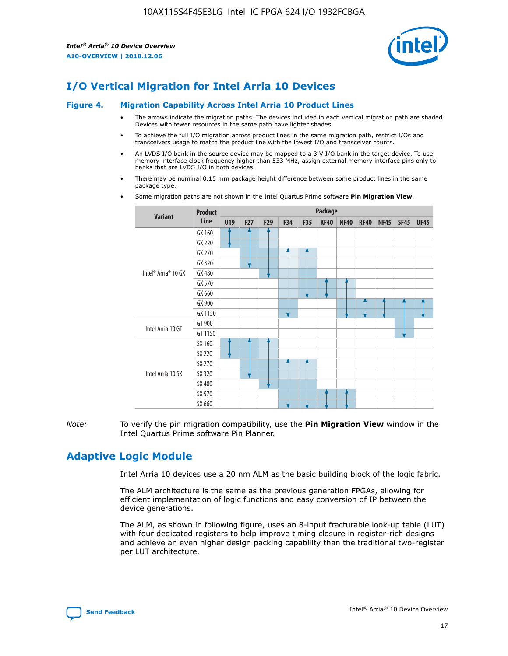

# **I/O Vertical Migration for Intel Arria 10 Devices**

#### **Figure 4. Migration Capability Across Intel Arria 10 Product Lines**

- The arrows indicate the migration paths. The devices included in each vertical migration path are shaded. Devices with fewer resources in the same path have lighter shades.
- To achieve the full I/O migration across product lines in the same migration path, restrict I/Os and transceivers usage to match the product line with the lowest I/O and transceiver counts.
- An LVDS I/O bank in the source device may be mapped to a 3 V I/O bank in the target device. To use memory interface clock frequency higher than 533 MHz, assign external memory interface pins only to banks that are LVDS I/O in both devices.
- There may be nominal 0.15 mm package height difference between some product lines in the same package type.
	- **Variant Product Line Package U19 F27 F29 F34 F35 KF40 NF40 RF40 NF45 SF45 UF45** Intel® Arria® 10 GX GX 160 GX 220 GX 270 GX 320 GX 480 GX 570 GX 660 GX 900 GX 1150 Intel Arria 10 GT GT 900 GT 1150 Intel Arria 10 SX SX 160 SX 220 SX 270 SX 320 SX 480 SX 570 SX 660
- Some migration paths are not shown in the Intel Quartus Prime software **Pin Migration View**.

*Note:* To verify the pin migration compatibility, use the **Pin Migration View** window in the Intel Quartus Prime software Pin Planner.

# **Adaptive Logic Module**

Intel Arria 10 devices use a 20 nm ALM as the basic building block of the logic fabric.

The ALM architecture is the same as the previous generation FPGAs, allowing for efficient implementation of logic functions and easy conversion of IP between the device generations.

The ALM, as shown in following figure, uses an 8-input fracturable look-up table (LUT) with four dedicated registers to help improve timing closure in register-rich designs and achieve an even higher design packing capability than the traditional two-register per LUT architecture.

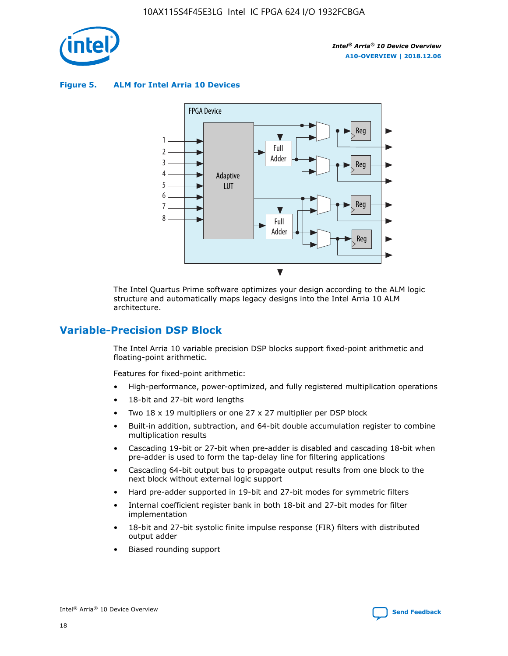

**Figure 5. ALM for Intel Arria 10 Devices**



The Intel Quartus Prime software optimizes your design according to the ALM logic structure and automatically maps legacy designs into the Intel Arria 10 ALM architecture.

## **Variable-Precision DSP Block**

The Intel Arria 10 variable precision DSP blocks support fixed-point arithmetic and floating-point arithmetic.

Features for fixed-point arithmetic:

- High-performance, power-optimized, and fully registered multiplication operations
- 18-bit and 27-bit word lengths
- Two 18 x 19 multipliers or one 27 x 27 multiplier per DSP block
- Built-in addition, subtraction, and 64-bit double accumulation register to combine multiplication results
- Cascading 19-bit or 27-bit when pre-adder is disabled and cascading 18-bit when pre-adder is used to form the tap-delay line for filtering applications
- Cascading 64-bit output bus to propagate output results from one block to the next block without external logic support
- Hard pre-adder supported in 19-bit and 27-bit modes for symmetric filters
- Internal coefficient register bank in both 18-bit and 27-bit modes for filter implementation
- 18-bit and 27-bit systolic finite impulse response (FIR) filters with distributed output adder
- Biased rounding support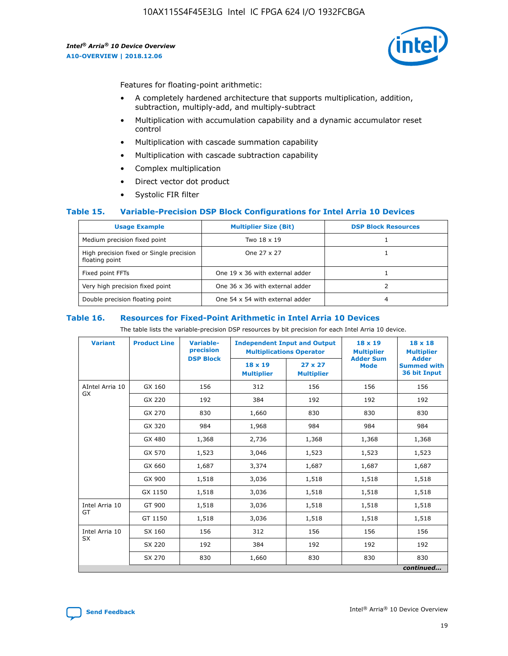

Features for floating-point arithmetic:

- A completely hardened architecture that supports multiplication, addition, subtraction, multiply-add, and multiply-subtract
- Multiplication with accumulation capability and a dynamic accumulator reset control
- Multiplication with cascade summation capability
- Multiplication with cascade subtraction capability
- Complex multiplication
- Direct vector dot product
- Systolic FIR filter

#### **Table 15. Variable-Precision DSP Block Configurations for Intel Arria 10 Devices**

| <b>Usage Example</b>                                       | <b>Multiplier Size (Bit)</b>    | <b>DSP Block Resources</b> |
|------------------------------------------------------------|---------------------------------|----------------------------|
| Medium precision fixed point                               | Two 18 x 19                     |                            |
| High precision fixed or Single precision<br>floating point | One 27 x 27                     |                            |
| Fixed point FFTs                                           | One 19 x 36 with external adder |                            |
| Very high precision fixed point                            | One 36 x 36 with external adder |                            |
| Double precision floating point                            | One 54 x 54 with external adder | 4                          |

#### **Table 16. Resources for Fixed-Point Arithmetic in Intel Arria 10 Devices**

The table lists the variable-precision DSP resources by bit precision for each Intel Arria 10 device.

| <b>Variant</b>  | <b>Product Line</b> | <b>Variable-</b><br>precision<br><b>DSP Block</b> | <b>Independent Input and Output</b><br><b>Multiplications Operator</b> |                                     | 18 x 19<br><b>Multiplier</b><br><b>Adder Sum</b> | $18 \times 18$<br><b>Multiplier</b><br><b>Adder</b> |
|-----------------|---------------------|---------------------------------------------------|------------------------------------------------------------------------|-------------------------------------|--------------------------------------------------|-----------------------------------------------------|
|                 |                     |                                                   | 18 x 19<br><b>Multiplier</b>                                           | $27 \times 27$<br><b>Multiplier</b> | <b>Mode</b>                                      | <b>Summed with</b><br>36 bit Input                  |
| AIntel Arria 10 | GX 160              | 156                                               | 312                                                                    | 156                                 | 156                                              | 156                                                 |
| GX              | GX 220              | 192                                               | 384                                                                    | 192                                 | 192                                              | 192                                                 |
|                 | GX 270              | 830                                               | 1,660                                                                  | 830                                 | 830                                              | 830                                                 |
|                 | GX 320              | 984                                               | 1,968                                                                  | 984                                 | 984                                              | 984                                                 |
|                 | GX 480              | 1,368                                             | 2,736                                                                  | 1,368                               | 1,368                                            | 1,368                                               |
|                 | GX 570              | 1,523                                             | 3,046                                                                  | 1,523                               | 1,523                                            | 1,523                                               |
|                 | GX 660              | 1,687                                             | 3,374                                                                  | 1,687                               | 1,687                                            | 1,687                                               |
|                 | GX 900              | 1,518                                             | 3,036                                                                  | 1,518                               | 1,518                                            | 1,518                                               |
|                 | GX 1150             | 1,518                                             | 3,036                                                                  | 1,518                               | 1,518                                            | 1,518                                               |
| Intel Arria 10  | GT 900              | 1,518                                             | 3,036                                                                  | 1,518                               | 1,518                                            | 1,518                                               |
| GT              | GT 1150             | 1,518                                             | 3,036                                                                  | 1,518                               | 1,518                                            | 1,518                                               |
| Intel Arria 10  | SX 160              | 156                                               | 312                                                                    | 156                                 | 156                                              | 156                                                 |
| <b>SX</b>       | SX 220              | 192                                               | 384                                                                    | 192                                 | 192                                              | 192                                                 |
|                 | SX 270              | 830                                               | 830<br>1,660                                                           |                                     | 830                                              | 830                                                 |
|                 |                     |                                                   |                                                                        |                                     |                                                  | continued                                           |

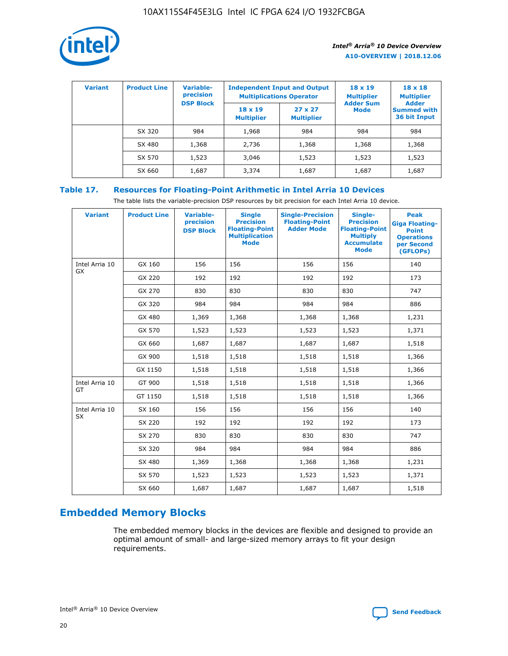

| <b>Variant</b> | <b>Product Line</b> | Variable-<br>precision | <b>Independent Input and Output</b><br><b>Multiplications Operator</b> |                                     | $18 \times 19$<br><b>Multiplier</b> | $18 \times 18$<br><b>Multiplier</b><br><b>Adder</b> |  |
|----------------|---------------------|------------------------|------------------------------------------------------------------------|-------------------------------------|-------------------------------------|-----------------------------------------------------|--|
|                |                     | <b>DSP Block</b>       | $18 \times 19$<br><b>Multiplier</b>                                    | $27 \times 27$<br><b>Multiplier</b> | <b>Adder Sum</b><br><b>Mode</b>     | <b>Summed with</b><br>36 bit Input                  |  |
|                | SX 320              | 984                    | 1,968                                                                  | 984                                 | 984                                 | 984                                                 |  |
|                | SX 480              | 1,368                  | 2,736                                                                  | 1,368                               | 1,368                               | 1,368                                               |  |
|                | SX 570              | 1,523                  | 3,046                                                                  | 1,523                               | 1,523                               | 1,523                                               |  |
|                | SX 660              | 1,687                  | 3,374                                                                  | 1,687                               | 1,687                               | 1,687                                               |  |

## **Table 17. Resources for Floating-Point Arithmetic in Intel Arria 10 Devices**

The table lists the variable-precision DSP resources by bit precision for each Intel Arria 10 device.

| <b>Variant</b> | <b>Product Line</b> | <b>Variable-</b><br>precision<br><b>DSP Block</b> | <b>Single</b><br><b>Precision</b><br><b>Floating-Point</b><br><b>Multiplication</b><br><b>Mode</b> | <b>Single-Precision</b><br><b>Floating-Point</b><br><b>Adder Mode</b> | Single-<br><b>Precision</b><br><b>Floating-Point</b><br><b>Multiply</b><br><b>Accumulate</b><br><b>Mode</b> | <b>Peak</b><br><b>Giga Floating-</b><br><b>Point</b><br><b>Operations</b><br>per Second<br>(GFLOPs) |
|----------------|---------------------|---------------------------------------------------|----------------------------------------------------------------------------------------------------|-----------------------------------------------------------------------|-------------------------------------------------------------------------------------------------------------|-----------------------------------------------------------------------------------------------------|
| Intel Arria 10 | GX 160              | 156                                               | 156                                                                                                | 156                                                                   | 156                                                                                                         | 140                                                                                                 |
| GX             | GX 220              | 192                                               | 192                                                                                                | 192                                                                   | 192                                                                                                         | 173                                                                                                 |
|                | GX 270              | 830                                               | 830                                                                                                | 830                                                                   | 830                                                                                                         | 747                                                                                                 |
|                | GX 320              | 984                                               | 984                                                                                                | 984                                                                   | 984                                                                                                         | 886                                                                                                 |
|                | GX 480              | 1,369                                             | 1,368                                                                                              | 1,368                                                                 | 1,368                                                                                                       | 1,231                                                                                               |
|                | GX 570              | 1,523                                             | 1,523                                                                                              | 1,523                                                                 | 1,523                                                                                                       | 1,371                                                                                               |
|                | GX 660              | 1,687                                             | 1,687                                                                                              | 1,687                                                                 | 1,687                                                                                                       | 1,518                                                                                               |
|                | GX 900              | 1,518                                             | 1,518                                                                                              | 1,518                                                                 | 1,518                                                                                                       | 1,366                                                                                               |
|                | GX 1150             | 1,518                                             | 1,518                                                                                              | 1,518                                                                 | 1,518                                                                                                       | 1,366                                                                                               |
| Intel Arria 10 | GT 900              | 1,518                                             | 1,518                                                                                              | 1,518                                                                 | 1,518                                                                                                       | 1,366                                                                                               |
| GT             | GT 1150             | 1,518                                             | 1,518                                                                                              | 1,518                                                                 | 1,518                                                                                                       | 1,366                                                                                               |
| Intel Arria 10 | SX 160              | 156                                               | 156                                                                                                | 156                                                                   | 156                                                                                                         | 140                                                                                                 |
| <b>SX</b>      | SX 220              | 192                                               | 192                                                                                                | 192                                                                   | 192                                                                                                         | 173                                                                                                 |
|                | SX 270              | 830                                               | 830                                                                                                | 830                                                                   | 830                                                                                                         | 747                                                                                                 |
|                | SX 320              | 984                                               | 984                                                                                                | 984                                                                   | 984                                                                                                         | 886                                                                                                 |
|                | SX 480              | 1,369                                             | 1,368                                                                                              | 1,368                                                                 | 1,368                                                                                                       | 1,231                                                                                               |
|                | SX 570              | 1,523                                             | 1,523                                                                                              | 1,523                                                                 | 1,523                                                                                                       | 1,371                                                                                               |
|                | SX 660              | 1,687                                             | 1,687                                                                                              | 1,687                                                                 | 1,687                                                                                                       | 1,518                                                                                               |

# **Embedded Memory Blocks**

The embedded memory blocks in the devices are flexible and designed to provide an optimal amount of small- and large-sized memory arrays to fit your design requirements.

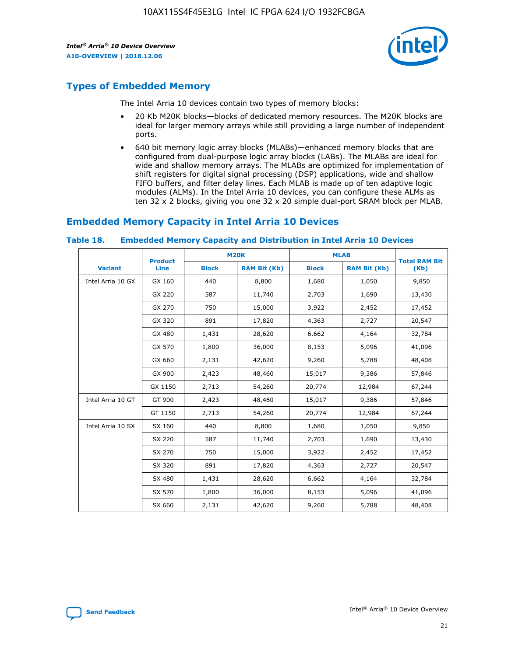

# **Types of Embedded Memory**

The Intel Arria 10 devices contain two types of memory blocks:

- 20 Kb M20K blocks—blocks of dedicated memory resources. The M20K blocks are ideal for larger memory arrays while still providing a large number of independent ports.
- 640 bit memory logic array blocks (MLABs)—enhanced memory blocks that are configured from dual-purpose logic array blocks (LABs). The MLABs are ideal for wide and shallow memory arrays. The MLABs are optimized for implementation of shift registers for digital signal processing (DSP) applications, wide and shallow FIFO buffers, and filter delay lines. Each MLAB is made up of ten adaptive logic modules (ALMs). In the Intel Arria 10 devices, you can configure these ALMs as ten 32 x 2 blocks, giving you one 32 x 20 simple dual-port SRAM block per MLAB.

# **Embedded Memory Capacity in Intel Arria 10 Devices**

|                   | <b>Product</b> |              | <b>M20K</b>         | <b>MLAB</b>  |                     | <b>Total RAM Bit</b> |
|-------------------|----------------|--------------|---------------------|--------------|---------------------|----------------------|
| <b>Variant</b>    | Line           | <b>Block</b> | <b>RAM Bit (Kb)</b> | <b>Block</b> | <b>RAM Bit (Kb)</b> | (Kb)                 |
| Intel Arria 10 GX | GX 160         | 440          | 8,800               | 1,680        | 1,050               | 9,850                |
|                   | GX 220         | 587          | 11,740              | 2,703        | 1,690               | 13,430               |
|                   | GX 270         | 750          | 15,000              | 3,922        | 2,452               | 17,452               |
|                   | GX 320         | 891          | 17,820              | 4,363        | 2,727               | 20,547               |
|                   | GX 480         | 1,431        | 28,620              | 6,662        | 4,164               | 32,784               |
|                   | GX 570         | 1,800        | 36,000              | 8,153        | 5,096               | 41,096               |
|                   | GX 660         | 2,131        | 42,620              | 9,260        | 5,788               | 48,408               |
|                   | GX 900         | 2,423        | 48,460              | 15,017       | 9,386               | 57,846               |
|                   | GX 1150        | 2,713        | 54,260              | 20,774       | 12,984              | 67,244               |
| Intel Arria 10 GT | GT 900         | 2,423        | 48,460              | 15,017       | 9,386               | 57,846               |
|                   | GT 1150        | 2,713        | 54,260              | 20,774       | 12,984              | 67,244               |
| Intel Arria 10 SX | SX 160         | 440          | 8,800               | 1,680        | 1,050               | 9,850                |
|                   | SX 220         | 587          | 11,740              | 2,703        | 1,690               | 13,430               |
|                   | SX 270         | 750          | 15,000              | 3,922        | 2,452               | 17,452               |
|                   | SX 320         | 891          | 17,820              | 4,363        | 2,727               | 20,547               |
|                   | SX 480         | 1,431        | 28,620              | 6,662        | 4,164               | 32,784               |
|                   | SX 570         | 1,800        | 36,000              | 8,153        | 5,096               | 41,096               |
|                   | SX 660         | 2,131        | 42,620              | 9,260        | 5,788               | 48,408               |

#### **Table 18. Embedded Memory Capacity and Distribution in Intel Arria 10 Devices**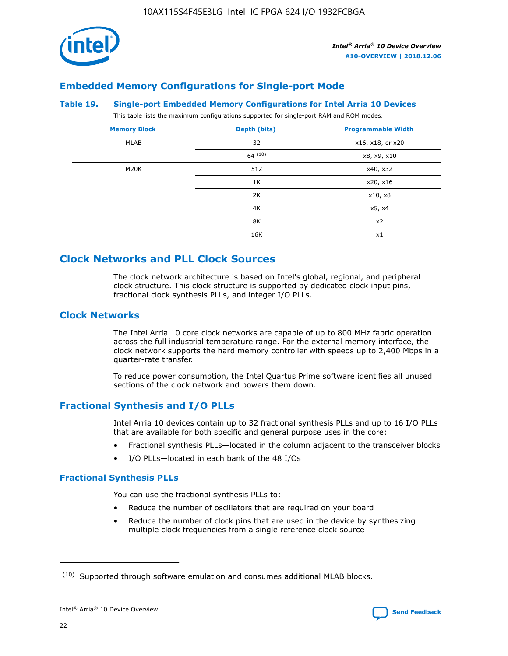

## **Embedded Memory Configurations for Single-port Mode**

#### **Table 19. Single-port Embedded Memory Configurations for Intel Arria 10 Devices**

This table lists the maximum configurations supported for single-port RAM and ROM modes.

| <b>Memory Block</b> | Depth (bits) | <b>Programmable Width</b> |
|---------------------|--------------|---------------------------|
| MLAB                | 32           | x16, x18, or x20          |
|                     | 64(10)       | x8, x9, x10               |
| M20K                | 512          | x40, x32                  |
|                     | 1K           | x20, x16                  |
|                     | 2K           | x10, x8                   |
|                     | 4K           | x5, x4                    |
|                     | 8K           | x2                        |
|                     | 16K          | x1                        |

# **Clock Networks and PLL Clock Sources**

The clock network architecture is based on Intel's global, regional, and peripheral clock structure. This clock structure is supported by dedicated clock input pins, fractional clock synthesis PLLs, and integer I/O PLLs.

## **Clock Networks**

The Intel Arria 10 core clock networks are capable of up to 800 MHz fabric operation across the full industrial temperature range. For the external memory interface, the clock network supports the hard memory controller with speeds up to 2,400 Mbps in a quarter-rate transfer.

To reduce power consumption, the Intel Quartus Prime software identifies all unused sections of the clock network and powers them down.

## **Fractional Synthesis and I/O PLLs**

Intel Arria 10 devices contain up to 32 fractional synthesis PLLs and up to 16 I/O PLLs that are available for both specific and general purpose uses in the core:

- Fractional synthesis PLLs—located in the column adjacent to the transceiver blocks
- I/O PLLs—located in each bank of the 48 I/Os

## **Fractional Synthesis PLLs**

You can use the fractional synthesis PLLs to:

- Reduce the number of oscillators that are required on your board
- Reduce the number of clock pins that are used in the device by synthesizing multiple clock frequencies from a single reference clock source

<sup>(10)</sup> Supported through software emulation and consumes additional MLAB blocks.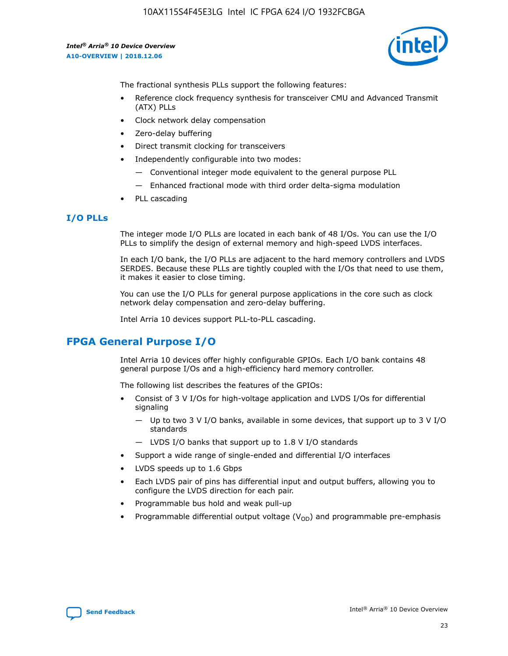

The fractional synthesis PLLs support the following features:

- Reference clock frequency synthesis for transceiver CMU and Advanced Transmit (ATX) PLLs
- Clock network delay compensation
- Zero-delay buffering
- Direct transmit clocking for transceivers
- Independently configurable into two modes:
	- Conventional integer mode equivalent to the general purpose PLL
	- Enhanced fractional mode with third order delta-sigma modulation
- PLL cascading

#### **I/O PLLs**

The integer mode I/O PLLs are located in each bank of 48 I/Os. You can use the I/O PLLs to simplify the design of external memory and high-speed LVDS interfaces.

In each I/O bank, the I/O PLLs are adjacent to the hard memory controllers and LVDS SERDES. Because these PLLs are tightly coupled with the I/Os that need to use them, it makes it easier to close timing.

You can use the I/O PLLs for general purpose applications in the core such as clock network delay compensation and zero-delay buffering.

Intel Arria 10 devices support PLL-to-PLL cascading.

## **FPGA General Purpose I/O**

Intel Arria 10 devices offer highly configurable GPIOs. Each I/O bank contains 48 general purpose I/Os and a high-efficiency hard memory controller.

The following list describes the features of the GPIOs:

- Consist of 3 V I/Os for high-voltage application and LVDS I/Os for differential signaling
	- Up to two 3 V I/O banks, available in some devices, that support up to 3 V I/O standards
	- LVDS I/O banks that support up to 1.8 V I/O standards
- Support a wide range of single-ended and differential I/O interfaces
- LVDS speeds up to 1.6 Gbps
- Each LVDS pair of pins has differential input and output buffers, allowing you to configure the LVDS direction for each pair.
- Programmable bus hold and weak pull-up
- Programmable differential output voltage  $(V_{OD})$  and programmable pre-emphasis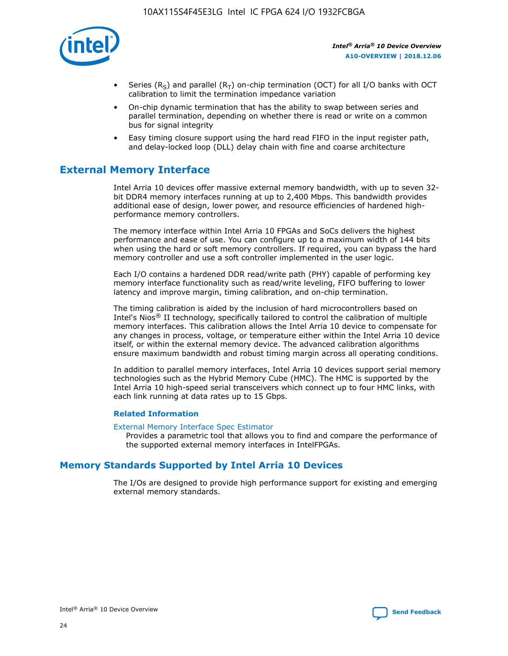

- Series (R<sub>S</sub>) and parallel (R<sub>T</sub>) on-chip termination (OCT) for all I/O banks with OCT calibration to limit the termination impedance variation
- On-chip dynamic termination that has the ability to swap between series and parallel termination, depending on whether there is read or write on a common bus for signal integrity
- Easy timing closure support using the hard read FIFO in the input register path, and delay-locked loop (DLL) delay chain with fine and coarse architecture

# **External Memory Interface**

Intel Arria 10 devices offer massive external memory bandwidth, with up to seven 32 bit DDR4 memory interfaces running at up to 2,400 Mbps. This bandwidth provides additional ease of design, lower power, and resource efficiencies of hardened highperformance memory controllers.

The memory interface within Intel Arria 10 FPGAs and SoCs delivers the highest performance and ease of use. You can configure up to a maximum width of 144 bits when using the hard or soft memory controllers. If required, you can bypass the hard memory controller and use a soft controller implemented in the user logic.

Each I/O contains a hardened DDR read/write path (PHY) capable of performing key memory interface functionality such as read/write leveling, FIFO buffering to lower latency and improve margin, timing calibration, and on-chip termination.

The timing calibration is aided by the inclusion of hard microcontrollers based on Intel's Nios® II technology, specifically tailored to control the calibration of multiple memory interfaces. This calibration allows the Intel Arria 10 device to compensate for any changes in process, voltage, or temperature either within the Intel Arria 10 device itself, or within the external memory device. The advanced calibration algorithms ensure maximum bandwidth and robust timing margin across all operating conditions.

In addition to parallel memory interfaces, Intel Arria 10 devices support serial memory technologies such as the Hybrid Memory Cube (HMC). The HMC is supported by the Intel Arria 10 high-speed serial transceivers which connect up to four HMC links, with each link running at data rates up to 15 Gbps.

#### **Related Information**

#### [External Memory Interface Spec Estimator](http://www.altera.com/technology/memory/estimator/mem-emif-index.html)

Provides a parametric tool that allows you to find and compare the performance of the supported external memory interfaces in IntelFPGAs.

## **Memory Standards Supported by Intel Arria 10 Devices**

The I/Os are designed to provide high performance support for existing and emerging external memory standards.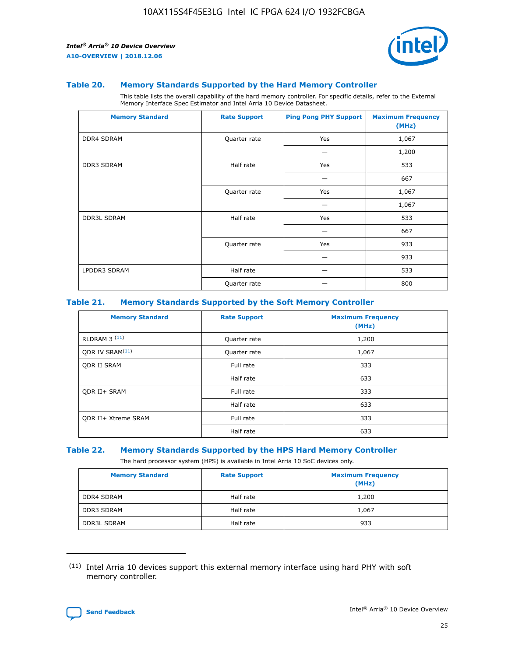

#### **Table 20. Memory Standards Supported by the Hard Memory Controller**

This table lists the overall capability of the hard memory controller. For specific details, refer to the External Memory Interface Spec Estimator and Intel Arria 10 Device Datasheet.

| <b>Memory Standard</b> | <b>Rate Support</b> | <b>Ping Pong PHY Support</b> | <b>Maximum Frequency</b><br>(MHz) |
|------------------------|---------------------|------------------------------|-----------------------------------|
| <b>DDR4 SDRAM</b>      | Quarter rate        | Yes                          | 1,067                             |
|                        |                     |                              | 1,200                             |
| <b>DDR3 SDRAM</b>      | Half rate           | Yes                          | 533                               |
|                        |                     |                              | 667                               |
|                        | Quarter rate        | Yes                          | 1,067                             |
|                        |                     |                              | 1,067                             |
| <b>DDR3L SDRAM</b>     | Half rate           | Yes                          | 533                               |
|                        |                     |                              | 667                               |
|                        | Quarter rate        | Yes                          | 933                               |
|                        |                     |                              | 933                               |
| LPDDR3 SDRAM           | Half rate           |                              | 533                               |
|                        | Quarter rate        |                              | 800                               |

#### **Table 21. Memory Standards Supported by the Soft Memory Controller**

| <b>Memory Standard</b>      | <b>Rate Support</b> | <b>Maximum Frequency</b><br>(MHz) |
|-----------------------------|---------------------|-----------------------------------|
| <b>RLDRAM 3 (11)</b>        | Quarter rate        | 1,200                             |
| ODR IV SRAM <sup>(11)</sup> | Quarter rate        | 1,067                             |
| <b>ODR II SRAM</b>          | Full rate           | 333                               |
|                             | Half rate           | 633                               |
| <b>ODR II+ SRAM</b>         | Full rate           | 333                               |
|                             | Half rate           | 633                               |
| <b>ODR II+ Xtreme SRAM</b>  | Full rate           | 333                               |
|                             | Half rate           | 633                               |

#### **Table 22. Memory Standards Supported by the HPS Hard Memory Controller**

The hard processor system (HPS) is available in Intel Arria 10 SoC devices only.

| <b>Memory Standard</b> | <b>Rate Support</b> | <b>Maximum Frequency</b><br>(MHz) |
|------------------------|---------------------|-----------------------------------|
| <b>DDR4 SDRAM</b>      | Half rate           | 1,200                             |
| <b>DDR3 SDRAM</b>      | Half rate           | 1,067                             |
| <b>DDR3L SDRAM</b>     | Half rate           | 933                               |

<sup>(11)</sup> Intel Arria 10 devices support this external memory interface using hard PHY with soft memory controller.

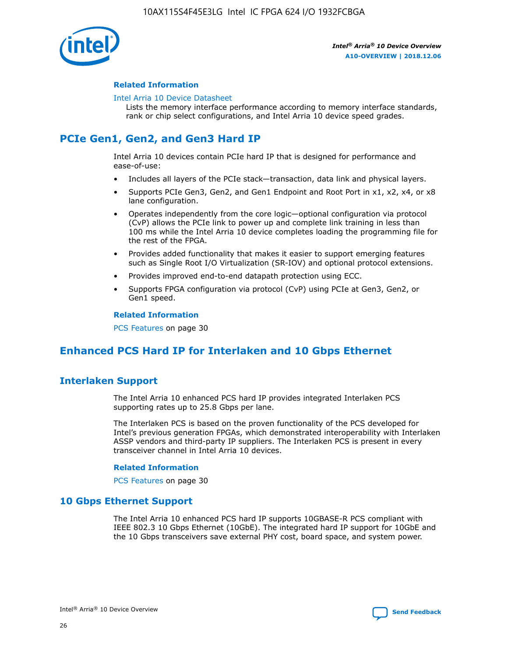

#### **Related Information**

#### [Intel Arria 10 Device Datasheet](https://www.intel.com/content/www/us/en/programmable/documentation/mcn1413182292568.html#mcn1413182153340)

Lists the memory interface performance according to memory interface standards, rank or chip select configurations, and Intel Arria 10 device speed grades.

# **PCIe Gen1, Gen2, and Gen3 Hard IP**

Intel Arria 10 devices contain PCIe hard IP that is designed for performance and ease-of-use:

- Includes all layers of the PCIe stack—transaction, data link and physical layers.
- Supports PCIe Gen3, Gen2, and Gen1 Endpoint and Root Port in x1, x2, x4, or x8 lane configuration.
- Operates independently from the core logic—optional configuration via protocol (CvP) allows the PCIe link to power up and complete link training in less than 100 ms while the Intel Arria 10 device completes loading the programming file for the rest of the FPGA.
- Provides added functionality that makes it easier to support emerging features such as Single Root I/O Virtualization (SR-IOV) and optional protocol extensions.
- Provides improved end-to-end datapath protection using ECC.
- Supports FPGA configuration via protocol (CvP) using PCIe at Gen3, Gen2, or Gen1 speed.

#### **Related Information**

PCS Features on page 30

# **Enhanced PCS Hard IP for Interlaken and 10 Gbps Ethernet**

## **Interlaken Support**

The Intel Arria 10 enhanced PCS hard IP provides integrated Interlaken PCS supporting rates up to 25.8 Gbps per lane.

The Interlaken PCS is based on the proven functionality of the PCS developed for Intel's previous generation FPGAs, which demonstrated interoperability with Interlaken ASSP vendors and third-party IP suppliers. The Interlaken PCS is present in every transceiver channel in Intel Arria 10 devices.

#### **Related Information**

PCS Features on page 30

## **10 Gbps Ethernet Support**

The Intel Arria 10 enhanced PCS hard IP supports 10GBASE-R PCS compliant with IEEE 802.3 10 Gbps Ethernet (10GbE). The integrated hard IP support for 10GbE and the 10 Gbps transceivers save external PHY cost, board space, and system power.

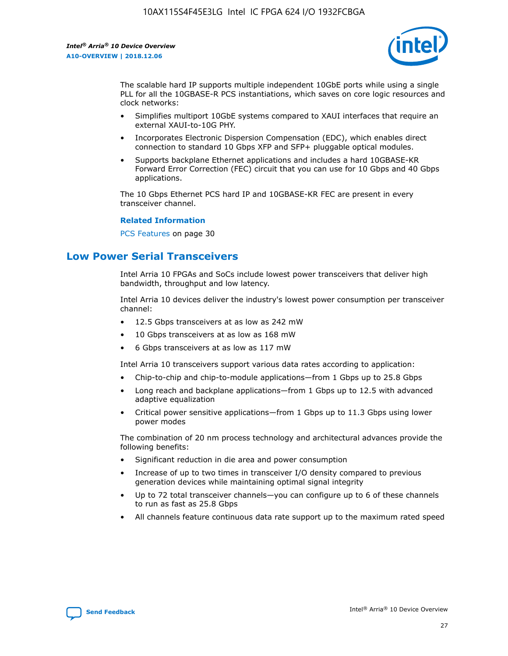

The scalable hard IP supports multiple independent 10GbE ports while using a single PLL for all the 10GBASE-R PCS instantiations, which saves on core logic resources and clock networks:

- Simplifies multiport 10GbE systems compared to XAUI interfaces that require an external XAUI-to-10G PHY.
- Incorporates Electronic Dispersion Compensation (EDC), which enables direct connection to standard 10 Gbps XFP and SFP+ pluggable optical modules.
- Supports backplane Ethernet applications and includes a hard 10GBASE-KR Forward Error Correction (FEC) circuit that you can use for 10 Gbps and 40 Gbps applications.

The 10 Gbps Ethernet PCS hard IP and 10GBASE-KR FEC are present in every transceiver channel.

#### **Related Information**

PCS Features on page 30

# **Low Power Serial Transceivers**

Intel Arria 10 FPGAs and SoCs include lowest power transceivers that deliver high bandwidth, throughput and low latency.

Intel Arria 10 devices deliver the industry's lowest power consumption per transceiver channel:

- 12.5 Gbps transceivers at as low as 242 mW
- 10 Gbps transceivers at as low as 168 mW
- 6 Gbps transceivers at as low as 117 mW

Intel Arria 10 transceivers support various data rates according to application:

- Chip-to-chip and chip-to-module applications—from 1 Gbps up to 25.8 Gbps
- Long reach and backplane applications—from 1 Gbps up to 12.5 with advanced adaptive equalization
- Critical power sensitive applications—from 1 Gbps up to 11.3 Gbps using lower power modes

The combination of 20 nm process technology and architectural advances provide the following benefits:

- Significant reduction in die area and power consumption
- Increase of up to two times in transceiver I/O density compared to previous generation devices while maintaining optimal signal integrity
- Up to 72 total transceiver channels—you can configure up to 6 of these channels to run as fast as 25.8 Gbps
- All channels feature continuous data rate support up to the maximum rated speed

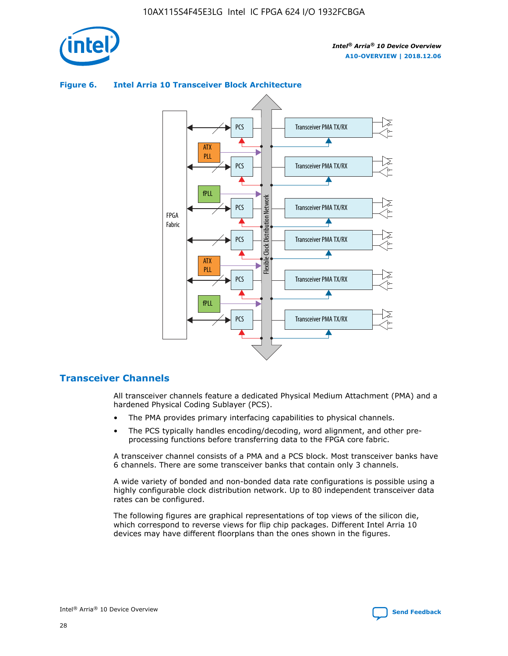



## **Figure 6. Intel Arria 10 Transceiver Block Architecture**

## **Transceiver Channels**

All transceiver channels feature a dedicated Physical Medium Attachment (PMA) and a hardened Physical Coding Sublayer (PCS).

- The PMA provides primary interfacing capabilities to physical channels.
- The PCS typically handles encoding/decoding, word alignment, and other preprocessing functions before transferring data to the FPGA core fabric.

A transceiver channel consists of a PMA and a PCS block. Most transceiver banks have 6 channels. There are some transceiver banks that contain only 3 channels.

A wide variety of bonded and non-bonded data rate configurations is possible using a highly configurable clock distribution network. Up to 80 independent transceiver data rates can be configured.

The following figures are graphical representations of top views of the silicon die, which correspond to reverse views for flip chip packages. Different Intel Arria 10 devices may have different floorplans than the ones shown in the figures.

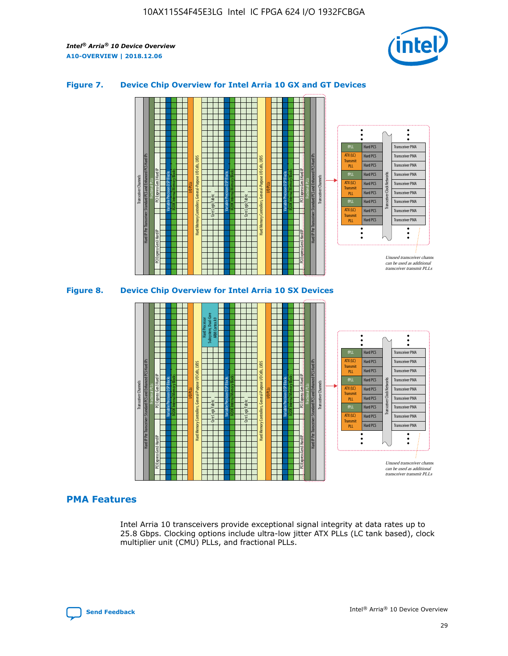

## **Figure 7. Device Chip Overview for Intel Arria 10 GX and GT Devices**



M20K Internal Memory Blocks Core Logic Fabric Transceiver Channels Hard IP Per Transceiver: Standard PCS and Enhanced PCS Hard IPs PCI Express Gen3 Hard IP Fractional PLLs M20K Internal Memory Blocks PCI Express Gen3 Hard IP Variable Precision DSP Blocks I/O PLLs Hard Memory Controllers, General-Purpose I/O Cells, LVDS Hard Processor Subsystem, Dual-Core ARM Cortex A9 M20K Internal Memory Blocks Variable Precision DSP Blocks M20K Internal Memory Blocks Core Logic Fabric I/O PLLs Hard Memory Controllers, General-Purpose I/O Cells, LVDS M20K Internal Memory Blocks Variable Precision DSP Blocks M20K Internal Memory Blocks Transceiver Channels Hard IP Per Transceiver: Standard PCS and Enhanced PCS Hard IPs PCI Express Gen3 Hard IP Fractional PLLs PCI Express Gen3 Hard IP  $\ddot{\cdot}$ Hard PCS Transceiver PMA fPLL ATX (LC) Hard PCS Transceiver PMA **Transmit** Hard PCS Transceiver PMA PLL fPLL Hard PCS Transceiver PMA Transceiver Clock Networks ATX (LC) Hard PCS Transceiver PMA Transmi Hard PCS Transceiver PMA PLL fPLL Hard PCS Transceiver PMA Transceiver PMA Hard PCS ATX (LC) **Transmit** Hard PCS Transceiver PMA PLL Unused transceiver chann can be used as additional transceiver transmit PLLs

## **PMA Features**

Intel Arria 10 transceivers provide exceptional signal integrity at data rates up to 25.8 Gbps. Clocking options include ultra-low jitter ATX PLLs (LC tank based), clock multiplier unit (CMU) PLLs, and fractional PLLs.

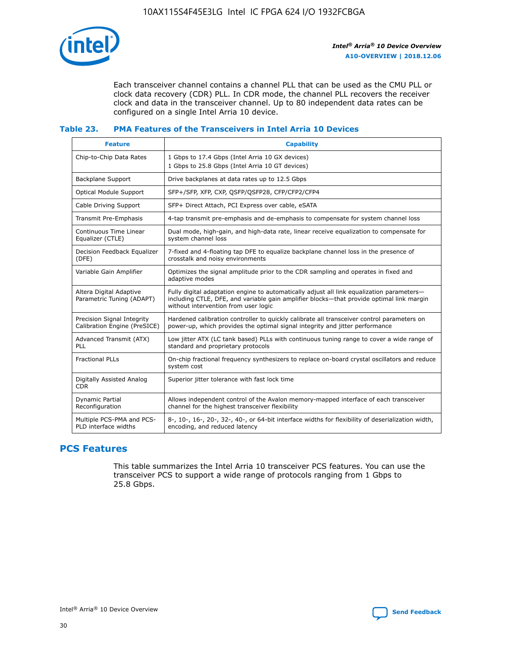

Each transceiver channel contains a channel PLL that can be used as the CMU PLL or clock data recovery (CDR) PLL. In CDR mode, the channel PLL recovers the receiver clock and data in the transceiver channel. Up to 80 independent data rates can be configured on a single Intel Arria 10 device.

## **Table 23. PMA Features of the Transceivers in Intel Arria 10 Devices**

| <b>Feature</b>                                             | <b>Capability</b>                                                                                                                                                                                                             |
|------------------------------------------------------------|-------------------------------------------------------------------------------------------------------------------------------------------------------------------------------------------------------------------------------|
| Chip-to-Chip Data Rates                                    | 1 Gbps to 17.4 Gbps (Intel Arria 10 GX devices)<br>1 Gbps to 25.8 Gbps (Intel Arria 10 GT devices)                                                                                                                            |
| Backplane Support                                          | Drive backplanes at data rates up to 12.5 Gbps                                                                                                                                                                                |
| Optical Module Support                                     | SFP+/SFP, XFP, CXP, QSFP/QSFP28, CFP/CFP2/CFP4                                                                                                                                                                                |
| Cable Driving Support                                      | SFP+ Direct Attach, PCI Express over cable, eSATA                                                                                                                                                                             |
| Transmit Pre-Emphasis                                      | 4-tap transmit pre-emphasis and de-emphasis to compensate for system channel loss                                                                                                                                             |
| Continuous Time Linear<br>Equalizer (CTLE)                 | Dual mode, high-gain, and high-data rate, linear receive equalization to compensate for<br>system channel loss                                                                                                                |
| Decision Feedback Equalizer<br>(DFE)                       | 7-fixed and 4-floating tap DFE to equalize backplane channel loss in the presence of<br>crosstalk and noisy environments                                                                                                      |
| Variable Gain Amplifier                                    | Optimizes the signal amplitude prior to the CDR sampling and operates in fixed and<br>adaptive modes                                                                                                                          |
| Altera Digital Adaptive<br>Parametric Tuning (ADAPT)       | Fully digital adaptation engine to automatically adjust all link equalization parameters-<br>including CTLE, DFE, and variable gain amplifier blocks—that provide optimal link margin<br>without intervention from user logic |
| Precision Signal Integrity<br>Calibration Engine (PreSICE) | Hardened calibration controller to quickly calibrate all transceiver control parameters on<br>power-up, which provides the optimal signal integrity and jitter performance                                                    |
| Advanced Transmit (ATX)<br>PLL                             | Low jitter ATX (LC tank based) PLLs with continuous tuning range to cover a wide range of<br>standard and proprietary protocols                                                                                               |
| <b>Fractional PLLs</b>                                     | On-chip fractional frequency synthesizers to replace on-board crystal oscillators and reduce<br>system cost                                                                                                                   |
| Digitally Assisted Analog<br><b>CDR</b>                    | Superior jitter tolerance with fast lock time                                                                                                                                                                                 |
| Dynamic Partial<br>Reconfiguration                         | Allows independent control of the Avalon memory-mapped interface of each transceiver<br>channel for the highest transceiver flexibility                                                                                       |
| Multiple PCS-PMA and PCS-<br>PLD interface widths          | 8-, 10-, 16-, 20-, 32-, 40-, or 64-bit interface widths for flexibility of deserialization width,<br>encoding, and reduced latency                                                                                            |

## **PCS Features**

This table summarizes the Intel Arria 10 transceiver PCS features. You can use the transceiver PCS to support a wide range of protocols ranging from 1 Gbps to 25.8 Gbps.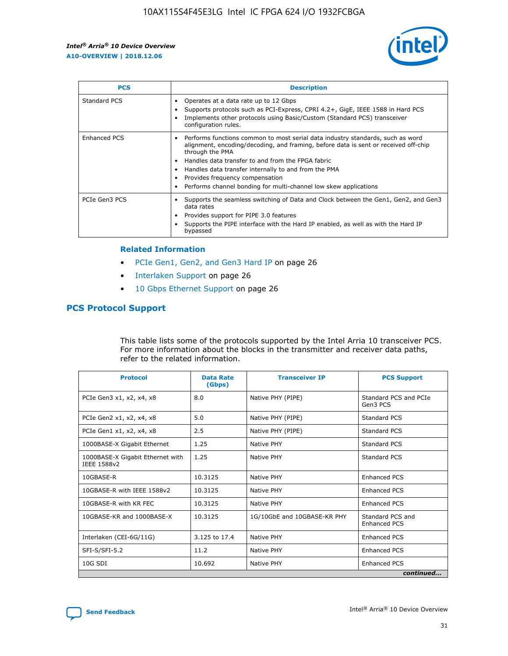

| <b>PCS</b>          | <b>Description</b>                                                                                                                                                                                                                                                                                                                                                                                             |
|---------------------|----------------------------------------------------------------------------------------------------------------------------------------------------------------------------------------------------------------------------------------------------------------------------------------------------------------------------------------------------------------------------------------------------------------|
| Standard PCS        | Operates at a data rate up to 12 Gbps<br>Supports protocols such as PCI-Express, CPRI 4.2+, GigE, IEEE 1588 in Hard PCS<br>Implements other protocols using Basic/Custom (Standard PCS) transceiver<br>configuration rules.                                                                                                                                                                                    |
| <b>Enhanced PCS</b> | Performs functions common to most serial data industry standards, such as word<br>alignment, encoding/decoding, and framing, before data is sent or received off-chip<br>through the PMA<br>• Handles data transfer to and from the FPGA fabric<br>Handles data transfer internally to and from the PMA<br>Provides frequency compensation<br>Performs channel bonding for multi-channel low skew applications |
| PCIe Gen3 PCS       | Supports the seamless switching of Data and Clock between the Gen1, Gen2, and Gen3<br>data rates<br>Provides support for PIPE 3.0 features<br>Supports the PIPE interface with the Hard IP enabled, as well as with the Hard IP<br>bypassed                                                                                                                                                                    |

#### **Related Information**

- PCIe Gen1, Gen2, and Gen3 Hard IP on page 26
- Interlaken Support on page 26
- 10 Gbps Ethernet Support on page 26

## **PCS Protocol Support**

This table lists some of the protocols supported by the Intel Arria 10 transceiver PCS. For more information about the blocks in the transmitter and receiver data paths, refer to the related information.

| <b>Protocol</b>                                 | <b>Data Rate</b><br>(Gbps) | <b>Transceiver IP</b>       | <b>PCS Support</b>                      |
|-------------------------------------------------|----------------------------|-----------------------------|-----------------------------------------|
| PCIe Gen3 x1, x2, x4, x8                        | 8.0                        | Native PHY (PIPE)           | Standard PCS and PCIe<br>Gen3 PCS       |
| PCIe Gen2 x1, x2, x4, x8                        | 5.0                        | Native PHY (PIPE)           | <b>Standard PCS</b>                     |
| PCIe Gen1 x1, x2, x4, x8                        | 2.5                        | Native PHY (PIPE)           | Standard PCS                            |
| 1000BASE-X Gigabit Ethernet                     | 1.25                       | Native PHY                  | <b>Standard PCS</b>                     |
| 1000BASE-X Gigabit Ethernet with<br>IEEE 1588v2 | 1.25                       | Native PHY                  | Standard PCS                            |
| 10GBASE-R                                       | 10.3125                    | Native PHY                  | <b>Enhanced PCS</b>                     |
| 10GBASE-R with IEEE 1588v2                      | 10.3125                    | Native PHY                  | <b>Enhanced PCS</b>                     |
| 10GBASE-R with KR FEC                           | 10.3125                    | Native PHY                  | <b>Enhanced PCS</b>                     |
| 10GBASE-KR and 1000BASE-X                       | 10.3125                    | 1G/10GbE and 10GBASE-KR PHY | Standard PCS and<br><b>Enhanced PCS</b> |
| Interlaken (CEI-6G/11G)                         | 3.125 to 17.4              | Native PHY                  | <b>Enhanced PCS</b>                     |
| SFI-S/SFI-5.2                                   | 11.2                       | Native PHY                  | <b>Enhanced PCS</b>                     |
| 10G SDI                                         | 10.692                     | Native PHY                  | <b>Enhanced PCS</b>                     |
|                                                 |                            |                             | continued                               |

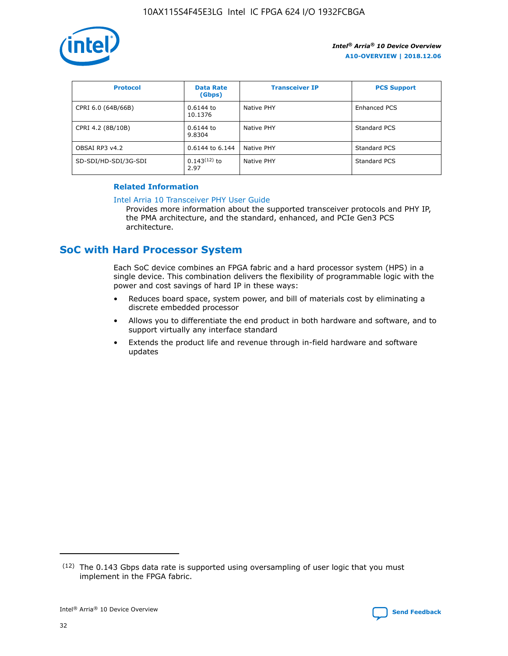

| <b>Protocol</b>      | <b>Data Rate</b><br>(Gbps) | <b>Transceiver IP</b> | <b>PCS Support</b> |
|----------------------|----------------------------|-----------------------|--------------------|
| CPRI 6.0 (64B/66B)   | 0.6144 to<br>10.1376       | Native PHY            | Enhanced PCS       |
| CPRI 4.2 (8B/10B)    | 0.6144 to<br>9.8304        | Native PHY            | Standard PCS       |
| OBSAI RP3 v4.2       | 0.6144 to 6.144            | Native PHY            | Standard PCS       |
| SD-SDI/HD-SDI/3G-SDI | $0.143(12)$ to<br>2.97     | Native PHY            | Standard PCS       |

## **Related Information**

#### [Intel Arria 10 Transceiver PHY User Guide](https://www.intel.com/content/www/us/en/programmable/documentation/nik1398707230472.html#nik1398707091164)

Provides more information about the supported transceiver protocols and PHY IP, the PMA architecture, and the standard, enhanced, and PCIe Gen3 PCS architecture.

# **SoC with Hard Processor System**

Each SoC device combines an FPGA fabric and a hard processor system (HPS) in a single device. This combination delivers the flexibility of programmable logic with the power and cost savings of hard IP in these ways:

- Reduces board space, system power, and bill of materials cost by eliminating a discrete embedded processor
- Allows you to differentiate the end product in both hardware and software, and to support virtually any interface standard
- Extends the product life and revenue through in-field hardware and software updates

 $(12)$  The 0.143 Gbps data rate is supported using oversampling of user logic that you must implement in the FPGA fabric.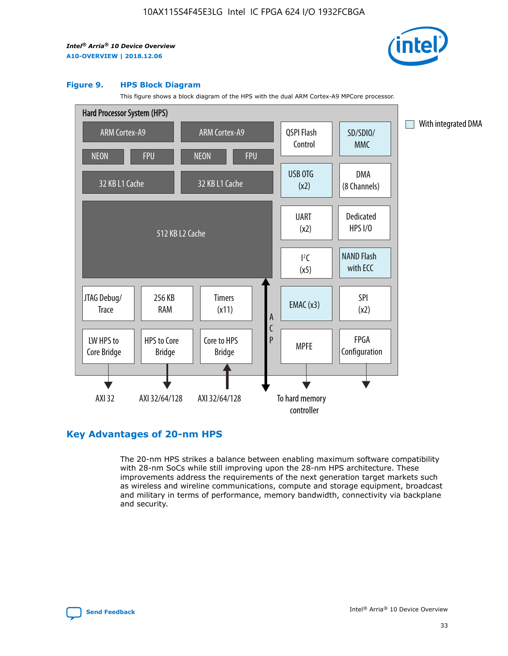

#### **Figure 9. HPS Block Diagram**

This figure shows a block diagram of the HPS with the dual ARM Cortex-A9 MPCore processor.



## **Key Advantages of 20-nm HPS**

The 20-nm HPS strikes a balance between enabling maximum software compatibility with 28-nm SoCs while still improving upon the 28-nm HPS architecture. These improvements address the requirements of the next generation target markets such as wireless and wireline communications, compute and storage equipment, broadcast and military in terms of performance, memory bandwidth, connectivity via backplane and security.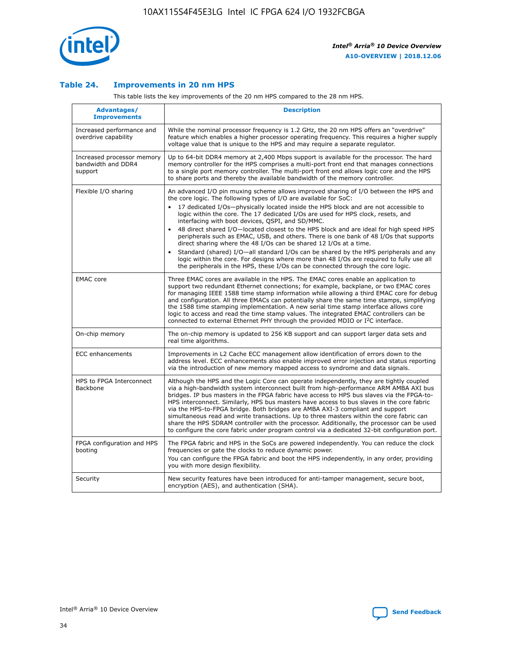

## **Table 24. Improvements in 20 nm HPS**

This table lists the key improvements of the 20 nm HPS compared to the 28 nm HPS.

| Advantages/<br><b>Improvements</b>                          | <b>Description</b>                                                                                                                                                                                                                                                                                                                                                                                                                                                                                                                                                                                                                                                                                                                                                                                                                                                                                                      |
|-------------------------------------------------------------|-------------------------------------------------------------------------------------------------------------------------------------------------------------------------------------------------------------------------------------------------------------------------------------------------------------------------------------------------------------------------------------------------------------------------------------------------------------------------------------------------------------------------------------------------------------------------------------------------------------------------------------------------------------------------------------------------------------------------------------------------------------------------------------------------------------------------------------------------------------------------------------------------------------------------|
| Increased performance and<br>overdrive capability           | While the nominal processor frequency is 1.2 GHz, the 20 nm HPS offers an "overdrive"<br>feature which enables a higher processor operating frequency. This requires a higher supply<br>voltage value that is unique to the HPS and may require a separate regulator.                                                                                                                                                                                                                                                                                                                                                                                                                                                                                                                                                                                                                                                   |
| Increased processor memory<br>bandwidth and DDR4<br>support | Up to 64-bit DDR4 memory at 2,400 Mbps support is available for the processor. The hard<br>memory controller for the HPS comprises a multi-port front end that manages connections<br>to a single port memory controller. The multi-port front end allows logic core and the HPS<br>to share ports and thereby the available bandwidth of the memory controller.                                                                                                                                                                                                                                                                                                                                                                                                                                                                                                                                                        |
| Flexible I/O sharing                                        | An advanced I/O pin muxing scheme allows improved sharing of I/O between the HPS and<br>the core logic. The following types of I/O are available for SoC:<br>17 dedicated I/Os-physically located inside the HPS block and are not accessible to<br>logic within the core. The 17 dedicated I/Os are used for HPS clock, resets, and<br>interfacing with boot devices, QSPI, and SD/MMC.<br>48 direct shared I/O-located closest to the HPS block and are ideal for high speed HPS<br>peripherals such as EMAC, USB, and others. There is one bank of 48 I/Os that supports<br>direct sharing where the 48 I/Os can be shared 12 I/Os at a time.<br>Standard (shared) I/O-all standard I/Os can be shared by the HPS peripherals and any<br>logic within the core. For designs where more than 48 I/Os are reguired to fully use all<br>the peripherals in the HPS, these I/Os can be connected through the core logic. |
| <b>EMAC</b> core                                            | Three EMAC cores are available in the HPS. The EMAC cores enable an application to<br>support two redundant Ethernet connections; for example, backplane, or two EMAC cores<br>for managing IEEE 1588 time stamp information while allowing a third EMAC core for debug<br>and configuration. All three EMACs can potentially share the same time stamps, simplifying<br>the 1588 time stamping implementation. A new serial time stamp interface allows core<br>logic to access and read the time stamp values. The integrated EMAC controllers can be<br>connected to external Ethernet PHY through the provided MDIO or I <sup>2</sup> C interface.                                                                                                                                                                                                                                                                  |
| On-chip memory                                              | The on-chip memory is updated to 256 KB support and can support larger data sets and<br>real time algorithms.                                                                                                                                                                                                                                                                                                                                                                                                                                                                                                                                                                                                                                                                                                                                                                                                           |
| <b>ECC</b> enhancements                                     | Improvements in L2 Cache ECC management allow identification of errors down to the<br>address level. ECC enhancements also enable improved error injection and status reporting<br>via the introduction of new memory mapped access to syndrome and data signals.                                                                                                                                                                                                                                                                                                                                                                                                                                                                                                                                                                                                                                                       |
| HPS to FPGA Interconnect<br>Backbone                        | Although the HPS and the Logic Core can operate independently, they are tightly coupled<br>via a high-bandwidth system interconnect built from high-performance ARM AMBA AXI bus<br>bridges. IP bus masters in the FPGA fabric have access to HPS bus slaves via the FPGA-to-<br>HPS interconnect. Similarly, HPS bus masters have access to bus slaves in the core fabric<br>via the HPS-to-FPGA bridge. Both bridges are AMBA AXI-3 compliant and support<br>simultaneous read and write transactions. Up to three masters within the core fabric can<br>share the HPS SDRAM controller with the processor. Additionally, the processor can be used<br>to configure the core fabric under program control via a dedicated 32-bit configuration port.                                                                                                                                                                  |
| FPGA configuration and HPS<br>booting                       | The FPGA fabric and HPS in the SoCs are powered independently. You can reduce the clock<br>frequencies or gate the clocks to reduce dynamic power.<br>You can configure the FPGA fabric and boot the HPS independently, in any order, providing<br>you with more design flexibility.                                                                                                                                                                                                                                                                                                                                                                                                                                                                                                                                                                                                                                    |
| Security                                                    | New security features have been introduced for anti-tamper management, secure boot,<br>encryption (AES), and authentication (SHA).                                                                                                                                                                                                                                                                                                                                                                                                                                                                                                                                                                                                                                                                                                                                                                                      |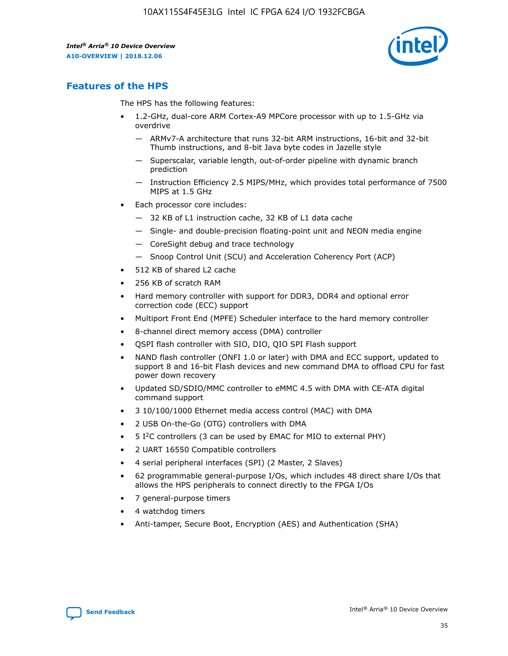

## **Features of the HPS**

The HPS has the following features:

- 1.2-GHz, dual-core ARM Cortex-A9 MPCore processor with up to 1.5-GHz via overdrive
	- ARMv7-A architecture that runs 32-bit ARM instructions, 16-bit and 32-bit Thumb instructions, and 8-bit Java byte codes in Jazelle style
	- Superscalar, variable length, out-of-order pipeline with dynamic branch prediction
	- Instruction Efficiency 2.5 MIPS/MHz, which provides total performance of 7500 MIPS at 1.5 GHz
- Each processor core includes:
	- 32 KB of L1 instruction cache, 32 KB of L1 data cache
	- Single- and double-precision floating-point unit and NEON media engine
	- CoreSight debug and trace technology
	- Snoop Control Unit (SCU) and Acceleration Coherency Port (ACP)
- 512 KB of shared L2 cache
- 256 KB of scratch RAM
- Hard memory controller with support for DDR3, DDR4 and optional error correction code (ECC) support
- Multiport Front End (MPFE) Scheduler interface to the hard memory controller
- 8-channel direct memory access (DMA) controller
- QSPI flash controller with SIO, DIO, QIO SPI Flash support
- NAND flash controller (ONFI 1.0 or later) with DMA and ECC support, updated to support 8 and 16-bit Flash devices and new command DMA to offload CPU for fast power down recovery
- Updated SD/SDIO/MMC controller to eMMC 4.5 with DMA with CE-ATA digital command support
- 3 10/100/1000 Ethernet media access control (MAC) with DMA
- 2 USB On-the-Go (OTG) controllers with DMA
- $\bullet$  5 I<sup>2</sup>C controllers (3 can be used by EMAC for MIO to external PHY)
- 2 UART 16550 Compatible controllers
- 4 serial peripheral interfaces (SPI) (2 Master, 2 Slaves)
- 62 programmable general-purpose I/Os, which includes 48 direct share I/Os that allows the HPS peripherals to connect directly to the FPGA I/Os
- 7 general-purpose timers
- 4 watchdog timers
- Anti-tamper, Secure Boot, Encryption (AES) and Authentication (SHA)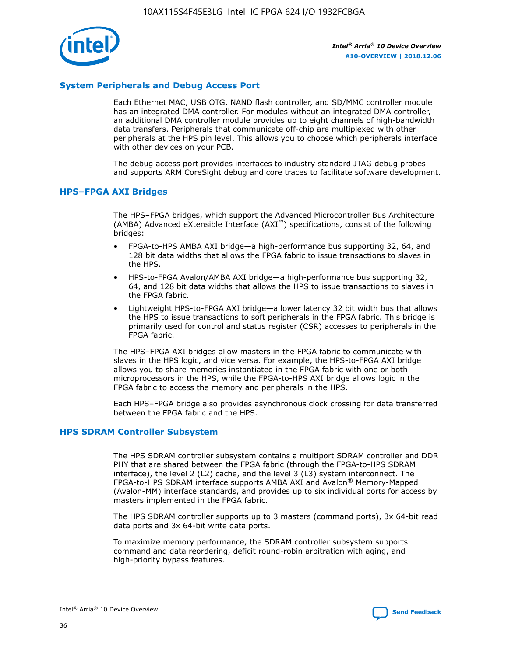

## **System Peripherals and Debug Access Port**

Each Ethernet MAC, USB OTG, NAND flash controller, and SD/MMC controller module has an integrated DMA controller. For modules without an integrated DMA controller, an additional DMA controller module provides up to eight channels of high-bandwidth data transfers. Peripherals that communicate off-chip are multiplexed with other peripherals at the HPS pin level. This allows you to choose which peripherals interface with other devices on your PCB.

The debug access port provides interfaces to industry standard JTAG debug probes and supports ARM CoreSight debug and core traces to facilitate software development.

## **HPS–FPGA AXI Bridges**

The HPS–FPGA bridges, which support the Advanced Microcontroller Bus Architecture (AMBA) Advanced eXtensible Interface (AXI™) specifications, consist of the following bridges:

- FPGA-to-HPS AMBA AXI bridge—a high-performance bus supporting 32, 64, and 128 bit data widths that allows the FPGA fabric to issue transactions to slaves in the HPS.
- HPS-to-FPGA Avalon/AMBA AXI bridge—a high-performance bus supporting 32, 64, and 128 bit data widths that allows the HPS to issue transactions to slaves in the FPGA fabric.
- Lightweight HPS-to-FPGA AXI bridge—a lower latency 32 bit width bus that allows the HPS to issue transactions to soft peripherals in the FPGA fabric. This bridge is primarily used for control and status register (CSR) accesses to peripherals in the FPGA fabric.

The HPS–FPGA AXI bridges allow masters in the FPGA fabric to communicate with slaves in the HPS logic, and vice versa. For example, the HPS-to-FPGA AXI bridge allows you to share memories instantiated in the FPGA fabric with one or both microprocessors in the HPS, while the FPGA-to-HPS AXI bridge allows logic in the FPGA fabric to access the memory and peripherals in the HPS.

Each HPS–FPGA bridge also provides asynchronous clock crossing for data transferred between the FPGA fabric and the HPS.

#### **HPS SDRAM Controller Subsystem**

The HPS SDRAM controller subsystem contains a multiport SDRAM controller and DDR PHY that are shared between the FPGA fabric (through the FPGA-to-HPS SDRAM interface), the level 2 (L2) cache, and the level 3 (L3) system interconnect. The FPGA-to-HPS SDRAM interface supports AMBA AXI and Avalon® Memory-Mapped (Avalon-MM) interface standards, and provides up to six individual ports for access by masters implemented in the FPGA fabric.

The HPS SDRAM controller supports up to 3 masters (command ports), 3x 64-bit read data ports and 3x 64-bit write data ports.

To maximize memory performance, the SDRAM controller subsystem supports command and data reordering, deficit round-robin arbitration with aging, and high-priority bypass features.

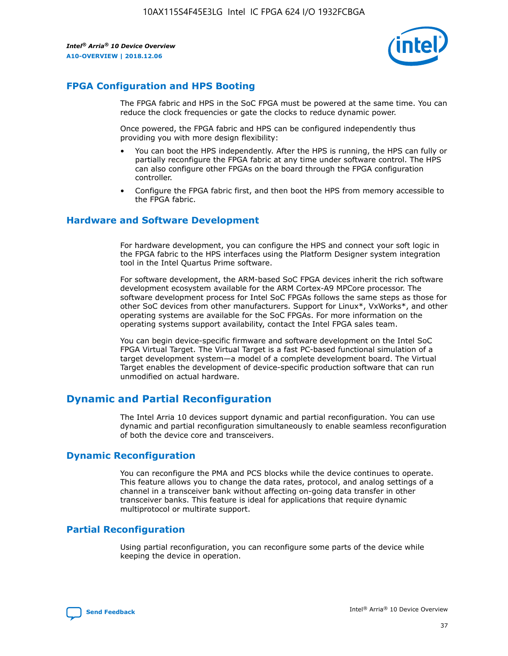

## **FPGA Configuration and HPS Booting**

The FPGA fabric and HPS in the SoC FPGA must be powered at the same time. You can reduce the clock frequencies or gate the clocks to reduce dynamic power.

Once powered, the FPGA fabric and HPS can be configured independently thus providing you with more design flexibility:

- You can boot the HPS independently. After the HPS is running, the HPS can fully or partially reconfigure the FPGA fabric at any time under software control. The HPS can also configure other FPGAs on the board through the FPGA configuration controller.
- Configure the FPGA fabric first, and then boot the HPS from memory accessible to the FPGA fabric.

## **Hardware and Software Development**

For hardware development, you can configure the HPS and connect your soft logic in the FPGA fabric to the HPS interfaces using the Platform Designer system integration tool in the Intel Quartus Prime software.

For software development, the ARM-based SoC FPGA devices inherit the rich software development ecosystem available for the ARM Cortex-A9 MPCore processor. The software development process for Intel SoC FPGAs follows the same steps as those for other SoC devices from other manufacturers. Support for Linux\*, VxWorks\*, and other operating systems are available for the SoC FPGAs. For more information on the operating systems support availability, contact the Intel FPGA sales team.

You can begin device-specific firmware and software development on the Intel SoC FPGA Virtual Target. The Virtual Target is a fast PC-based functional simulation of a target development system—a model of a complete development board. The Virtual Target enables the development of device-specific production software that can run unmodified on actual hardware.

## **Dynamic and Partial Reconfiguration**

The Intel Arria 10 devices support dynamic and partial reconfiguration. You can use dynamic and partial reconfiguration simultaneously to enable seamless reconfiguration of both the device core and transceivers.

## **Dynamic Reconfiguration**

You can reconfigure the PMA and PCS blocks while the device continues to operate. This feature allows you to change the data rates, protocol, and analog settings of a channel in a transceiver bank without affecting on-going data transfer in other transceiver banks. This feature is ideal for applications that require dynamic multiprotocol or multirate support.

## **Partial Reconfiguration**

Using partial reconfiguration, you can reconfigure some parts of the device while keeping the device in operation.

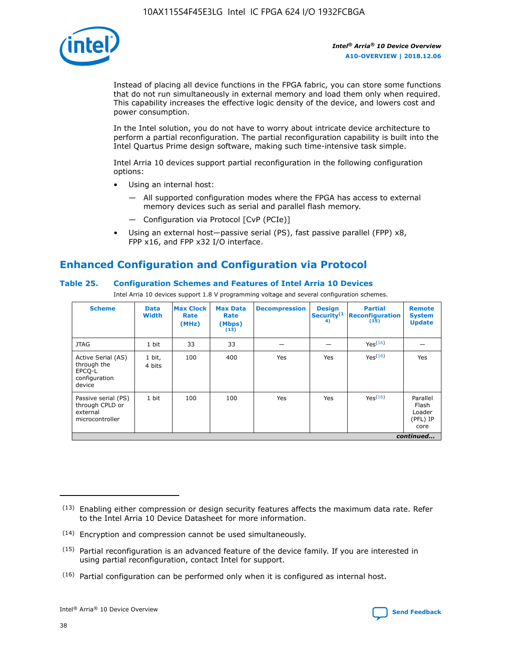

Instead of placing all device functions in the FPGA fabric, you can store some functions that do not run simultaneously in external memory and load them only when required. This capability increases the effective logic density of the device, and lowers cost and power consumption.

In the Intel solution, you do not have to worry about intricate device architecture to perform a partial reconfiguration. The partial reconfiguration capability is built into the Intel Quartus Prime design software, making such time-intensive task simple.

Intel Arria 10 devices support partial reconfiguration in the following configuration options:

- Using an internal host:
	- All supported configuration modes where the FPGA has access to external memory devices such as serial and parallel flash memory.
	- Configuration via Protocol [CvP (PCIe)]
- Using an external host—passive serial (PS), fast passive parallel (FPP) x8, FPP x16, and FPP x32 I/O interface.

# **Enhanced Configuration and Configuration via Protocol**

## **Table 25. Configuration Schemes and Features of Intel Arria 10 Devices**

Intel Arria 10 devices support 1.8 V programming voltage and several configuration schemes.

| <b>Scheme</b>                                                          | <b>Data</b><br><b>Width</b> | <b>Max Clock</b><br>Rate<br>(MHz) | <b>Max Data</b><br>Rate<br>(Mbps)<br>(13) | <b>Decompression</b> | <b>Design</b><br>Security <sup>(1</sup><br>4) | <b>Partial</b><br>Reconfiguration<br>(15) | <b>Remote</b><br><b>System</b><br><b>Update</b> |
|------------------------------------------------------------------------|-----------------------------|-----------------------------------|-------------------------------------------|----------------------|-----------------------------------------------|-------------------------------------------|-------------------------------------------------|
| <b>JTAG</b>                                                            | 1 bit                       | 33                                | 33                                        |                      |                                               | Yes(16)                                   |                                                 |
| Active Serial (AS)<br>through the<br>EPCO-L<br>configuration<br>device | 1 bit,<br>4 bits            | 100                               | 400                                       | Yes                  | Yes                                           | Yes(16)                                   | Yes                                             |
| Passive serial (PS)<br>through CPLD or<br>external<br>microcontroller  | 1 bit                       | 100                               | 100                                       | Yes                  | Yes                                           | Yes <sup>(16)</sup>                       | Parallel<br>Flash<br>Loader<br>(PFL) IP<br>core |
|                                                                        | continued                   |                                   |                                           |                      |                                               |                                           |                                                 |

<sup>(13)</sup> Enabling either compression or design security features affects the maximum data rate. Refer to the Intel Arria 10 Device Datasheet for more information.

<sup>(14)</sup> Encryption and compression cannot be used simultaneously.

 $(15)$  Partial reconfiguration is an advanced feature of the device family. If you are interested in using partial reconfiguration, contact Intel for support.

 $(16)$  Partial configuration can be performed only when it is configured as internal host.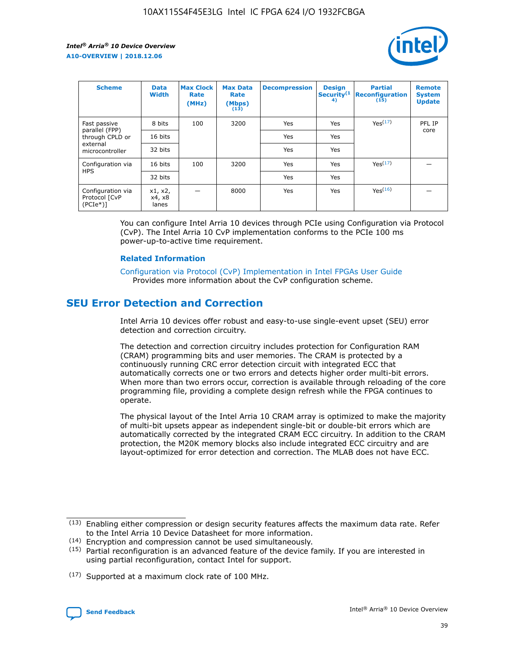

| <b>Scheme</b>                                   | <b>Data</b><br><b>Width</b> | <b>Max Clock</b><br>Rate<br>(MHz) | <b>Max Data</b><br>Rate<br>(Mbps)<br>(13) | <b>Decompression</b> | <b>Design</b><br>Security <sup>(1</sup><br>4) | <b>Partial</b><br><b>Reconfiguration</b><br>(15) | <b>Remote</b><br><b>System</b><br><b>Update</b> |
|-------------------------------------------------|-----------------------------|-----------------------------------|-------------------------------------------|----------------------|-----------------------------------------------|--------------------------------------------------|-------------------------------------------------|
| Fast passive                                    | 8 bits                      | 100                               | 3200                                      | <b>Yes</b>           | Yes                                           | Yes(17)                                          | PFL IP                                          |
| parallel (FPP)<br>through CPLD or               | 16 bits                     |                                   |                                           | Yes                  | Yes                                           |                                                  | core                                            |
| external<br>microcontroller                     | 32 bits                     |                                   |                                           | Yes                  | Yes                                           |                                                  |                                                 |
| Configuration via                               | 16 bits                     | 100                               | 3200                                      | Yes                  | Yes                                           | Yes <sup>(17)</sup>                              |                                                 |
| <b>HPS</b>                                      | 32 bits                     |                                   |                                           | Yes                  | Yes                                           |                                                  |                                                 |
| Configuration via<br>Protocol [CvP<br>$(PCIe*)$ | x1, x2,<br>x4, x8<br>lanes  |                                   | 8000                                      | Yes                  | Yes                                           | Yes <sup>(16)</sup>                              |                                                 |

You can configure Intel Arria 10 devices through PCIe using Configuration via Protocol (CvP). The Intel Arria 10 CvP implementation conforms to the PCIe 100 ms power-up-to-active time requirement.

#### **Related Information**

[Configuration via Protocol \(CvP\) Implementation in Intel FPGAs User Guide](https://www.intel.com/content/www/us/en/programmable/documentation/dsu1441819344145.html#dsu1442269728522) Provides more information about the CvP configuration scheme.

# **SEU Error Detection and Correction**

Intel Arria 10 devices offer robust and easy-to-use single-event upset (SEU) error detection and correction circuitry.

The detection and correction circuitry includes protection for Configuration RAM (CRAM) programming bits and user memories. The CRAM is protected by a continuously running CRC error detection circuit with integrated ECC that automatically corrects one or two errors and detects higher order multi-bit errors. When more than two errors occur, correction is available through reloading of the core programming file, providing a complete design refresh while the FPGA continues to operate.

The physical layout of the Intel Arria 10 CRAM array is optimized to make the majority of multi-bit upsets appear as independent single-bit or double-bit errors which are automatically corrected by the integrated CRAM ECC circuitry. In addition to the CRAM protection, the M20K memory blocks also include integrated ECC circuitry and are layout-optimized for error detection and correction. The MLAB does not have ECC.

(14) Encryption and compression cannot be used simultaneously.

<sup>(17)</sup> Supported at a maximum clock rate of 100 MHz.



 $(13)$  Enabling either compression or design security features affects the maximum data rate. Refer to the Intel Arria 10 Device Datasheet for more information.

 $(15)$  Partial reconfiguration is an advanced feature of the device family. If you are interested in using partial reconfiguration, contact Intel for support.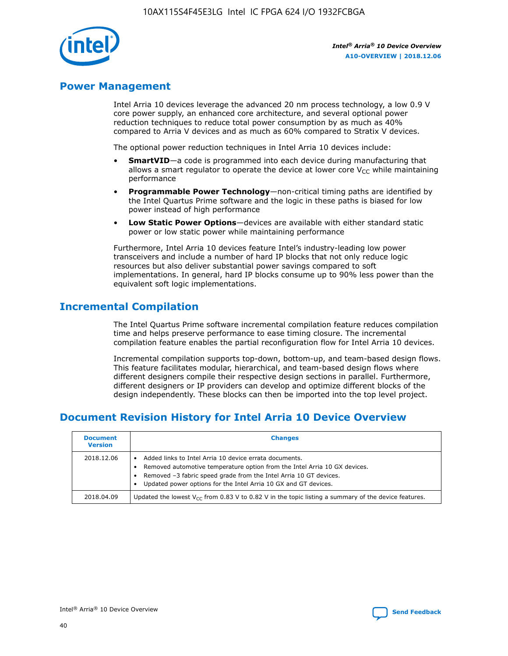

## **Power Management**

Intel Arria 10 devices leverage the advanced 20 nm process technology, a low 0.9 V core power supply, an enhanced core architecture, and several optional power reduction techniques to reduce total power consumption by as much as 40% compared to Arria V devices and as much as 60% compared to Stratix V devices.

The optional power reduction techniques in Intel Arria 10 devices include:

- **SmartVID**—a code is programmed into each device during manufacturing that allows a smart regulator to operate the device at lower core  $V_{CC}$  while maintaining performance
- **Programmable Power Technology**—non-critical timing paths are identified by the Intel Quartus Prime software and the logic in these paths is biased for low power instead of high performance
- **Low Static Power Options**—devices are available with either standard static power or low static power while maintaining performance

Furthermore, Intel Arria 10 devices feature Intel's industry-leading low power transceivers and include a number of hard IP blocks that not only reduce logic resources but also deliver substantial power savings compared to soft implementations. In general, hard IP blocks consume up to 90% less power than the equivalent soft logic implementations.

# **Incremental Compilation**

The Intel Quartus Prime software incremental compilation feature reduces compilation time and helps preserve performance to ease timing closure. The incremental compilation feature enables the partial reconfiguration flow for Intel Arria 10 devices.

Incremental compilation supports top-down, bottom-up, and team-based design flows. This feature facilitates modular, hierarchical, and team-based design flows where different designers compile their respective design sections in parallel. Furthermore, different designers or IP providers can develop and optimize different blocks of the design independently. These blocks can then be imported into the top level project.

# **Document Revision History for Intel Arria 10 Device Overview**

| <b>Document</b><br><b>Version</b> | <b>Changes</b>                                                                                                                                                                                                                                                              |
|-----------------------------------|-----------------------------------------------------------------------------------------------------------------------------------------------------------------------------------------------------------------------------------------------------------------------------|
| 2018.12.06                        | Added links to Intel Arria 10 device errata documents.<br>Removed automotive temperature option from the Intel Arria 10 GX devices.<br>Removed -3 fabric speed grade from the Intel Arria 10 GT devices.<br>Updated power options for the Intel Arria 10 GX and GT devices. |
| 2018.04.09                        | Updated the lowest $V_{CC}$ from 0.83 V to 0.82 V in the topic listing a summary of the device features.                                                                                                                                                                    |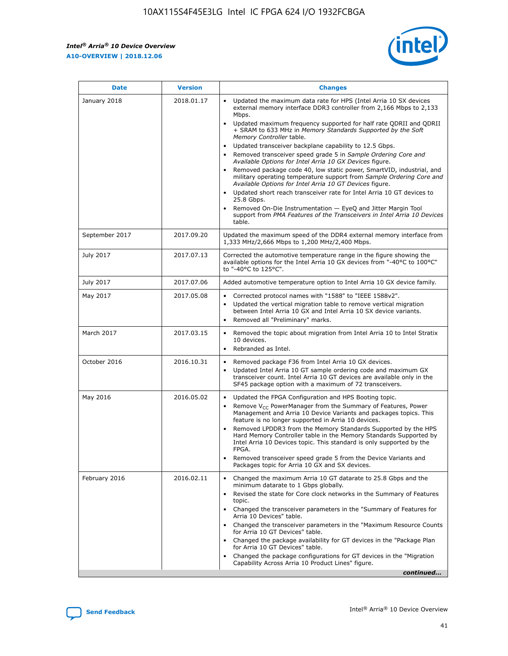*Intel® Arria® 10 Device Overview* **A10-OVERVIEW | 2018.12.06**



| <b>Date</b>    | <b>Version</b> | <b>Changes</b>                                                                                                                                                                                                                                                                                                                                                                                                                                                                                                                                                                                                                                                                                                                                                                                                                                                                                                                                                            |
|----------------|----------------|---------------------------------------------------------------------------------------------------------------------------------------------------------------------------------------------------------------------------------------------------------------------------------------------------------------------------------------------------------------------------------------------------------------------------------------------------------------------------------------------------------------------------------------------------------------------------------------------------------------------------------------------------------------------------------------------------------------------------------------------------------------------------------------------------------------------------------------------------------------------------------------------------------------------------------------------------------------------------|
| January 2018   | 2018.01.17     | Updated the maximum data rate for HPS (Intel Arria 10 SX devices<br>external memory interface DDR3 controller from 2,166 Mbps to 2,133<br>Mbps.<br>Updated maximum frequency supported for half rate QDRII and QDRII<br>+ SRAM to 633 MHz in Memory Standards Supported by the Soft<br>Memory Controller table.<br>Updated transceiver backplane capability to 12.5 Gbps.<br>$\bullet$<br>Removed transceiver speed grade 5 in Sample Ordering Core and<br>Available Options for Intel Arria 10 GX Devices figure.<br>Removed package code 40, low static power, SmartVID, industrial, and<br>military operating temperature support from Sample Ordering Core and<br>Available Options for Intel Arria 10 GT Devices figure.<br>Updated short reach transceiver rate for Intel Arria 10 GT devices to<br>25.8 Gbps.<br>Removed On-Die Instrumentation - EyeQ and Jitter Margin Tool<br>support from PMA Features of the Transceivers in Intel Arria 10 Devices<br>table. |
| September 2017 | 2017.09.20     | Updated the maximum speed of the DDR4 external memory interface from<br>1,333 MHz/2,666 Mbps to 1,200 MHz/2,400 Mbps.                                                                                                                                                                                                                                                                                                                                                                                                                                                                                                                                                                                                                                                                                                                                                                                                                                                     |
| July 2017      | 2017.07.13     | Corrected the automotive temperature range in the figure showing the<br>available options for the Intel Arria 10 GX devices from "-40°C to 100°C"<br>to "-40°C to 125°C".                                                                                                                                                                                                                                                                                                                                                                                                                                                                                                                                                                                                                                                                                                                                                                                                 |
| July 2017      | 2017.07.06     | Added automotive temperature option to Intel Arria 10 GX device family.                                                                                                                                                                                                                                                                                                                                                                                                                                                                                                                                                                                                                                                                                                                                                                                                                                                                                                   |
| May 2017       | 2017.05.08     | Corrected protocol names with "1588" to "IEEE 1588v2".<br>$\bullet$<br>Updated the vertical migration table to remove vertical migration<br>$\bullet$<br>between Intel Arria 10 GX and Intel Arria 10 SX device variants.<br>Removed all "Preliminary" marks.<br>$\bullet$                                                                                                                                                                                                                                                                                                                                                                                                                                                                                                                                                                                                                                                                                                |
| March 2017     | 2017.03.15     | Removed the topic about migration from Intel Arria 10 to Intel Stratix<br>10 devices.<br>Rebranded as Intel.<br>$\bullet$                                                                                                                                                                                                                                                                                                                                                                                                                                                                                                                                                                                                                                                                                                                                                                                                                                                 |
| October 2016   | 2016.10.31     | Removed package F36 from Intel Arria 10 GX devices.<br>Updated Intel Arria 10 GT sample ordering code and maximum GX<br>$\bullet$<br>transceiver count. Intel Arria 10 GT devices are available only in the<br>SF45 package option with a maximum of 72 transceivers.                                                                                                                                                                                                                                                                                                                                                                                                                                                                                                                                                                                                                                                                                                     |
| May 2016       | 2016.05.02     | Updated the FPGA Configuration and HPS Booting topic.<br>$\bullet$<br>Remove V <sub>CC</sub> PowerManager from the Summary of Features, Power<br>Management and Arria 10 Device Variants and packages topics. This<br>feature is no longer supported in Arria 10 devices.<br>Removed LPDDR3 from the Memory Standards Supported by the HPS<br>Hard Memory Controller table in the Memory Standards Supported by<br>Intel Arria 10 Devices topic. This standard is only supported by the<br>FPGA.<br>Removed transceiver speed grade 5 from the Device Variants and<br>Packages topic for Arria 10 GX and SX devices.                                                                                                                                                                                                                                                                                                                                                      |
| February 2016  | 2016.02.11     | Changed the maximum Arria 10 GT datarate to 25.8 Gbps and the<br>minimum datarate to 1 Gbps globally.<br>Revised the state for Core clock networks in the Summary of Features<br>$\bullet$<br>topic.<br>Changed the transceiver parameters in the "Summary of Features for<br>$\bullet$<br>Arria 10 Devices" table.<br>• Changed the transceiver parameters in the "Maximum Resource Counts<br>for Arria 10 GT Devices" table.<br>Changed the package availability for GT devices in the "Package Plan<br>for Arria 10 GT Devices" table.<br>Changed the package configurations for GT devices in the "Migration"<br>Capability Across Arria 10 Product Lines" figure.<br>continued                                                                                                                                                                                                                                                                                       |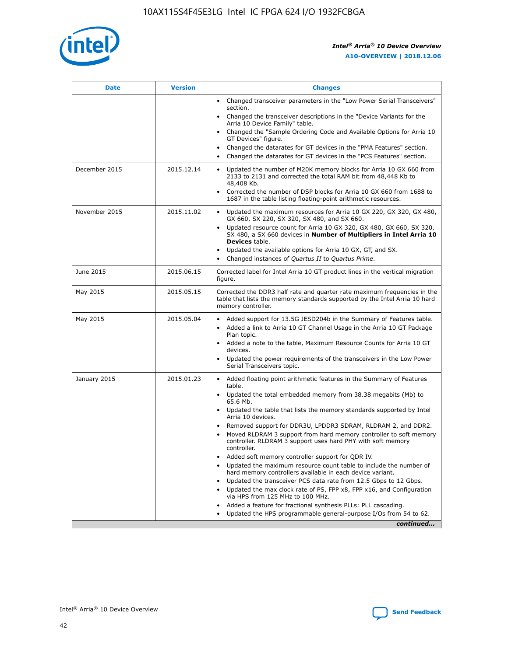

| <b>Date</b>   | <b>Version</b> | <b>Changes</b>                                                                                                                                                               |
|---------------|----------------|------------------------------------------------------------------------------------------------------------------------------------------------------------------------------|
|               |                | • Changed transceiver parameters in the "Low Power Serial Transceivers"<br>section.                                                                                          |
|               |                | • Changed the transceiver descriptions in the "Device Variants for the<br>Arria 10 Device Family" table.                                                                     |
|               |                | Changed the "Sample Ordering Code and Available Options for Arria 10<br>$\bullet$<br>GT Devices" figure.                                                                     |
|               |                | Changed the datarates for GT devices in the "PMA Features" section.                                                                                                          |
|               |                | Changed the datarates for GT devices in the "PCS Features" section.<br>$\bullet$                                                                                             |
| December 2015 | 2015.12.14     | Updated the number of M20K memory blocks for Arria 10 GX 660 from<br>2133 to 2131 and corrected the total RAM bit from 48,448 Kb to<br>48,408 Kb.                            |
|               |                | Corrected the number of DSP blocks for Arria 10 GX 660 from 1688 to<br>1687 in the table listing floating-point arithmetic resources.                                        |
| November 2015 | 2015.11.02     | Updated the maximum resources for Arria 10 GX 220, GX 320, GX 480,<br>$\bullet$<br>GX 660, SX 220, SX 320, SX 480, and SX 660.                                               |
|               |                | • Updated resource count for Arria 10 GX 320, GX 480, GX 660, SX 320,<br>SX 480, a SX 660 devices in Number of Multipliers in Intel Arria 10<br><b>Devices</b> table.        |
|               |                | Updated the available options for Arria 10 GX, GT, and SX.                                                                                                                   |
|               |                | Changed instances of Quartus II to Quartus Prime.<br>$\bullet$                                                                                                               |
| June 2015     | 2015.06.15     | Corrected label for Intel Arria 10 GT product lines in the vertical migration<br>figure.                                                                                     |
| May 2015      | 2015.05.15     | Corrected the DDR3 half rate and quarter rate maximum frequencies in the<br>table that lists the memory standards supported by the Intel Arria 10 hard<br>memory controller. |
| May 2015      | 2015.05.04     | • Added support for 13.5G JESD204b in the Summary of Features table.                                                                                                         |
|               |                | • Added a link to Arria 10 GT Channel Usage in the Arria 10 GT Package<br>Plan topic.                                                                                        |
|               |                | • Added a note to the table, Maximum Resource Counts for Arria 10 GT<br>devices.                                                                                             |
|               |                | • Updated the power requirements of the transceivers in the Low Power<br>Serial Transceivers topic.                                                                          |
| January 2015  | 2015.01.23     | • Added floating point arithmetic features in the Summary of Features<br>table.                                                                                              |
|               |                | • Updated the total embedded memory from 38.38 megabits (Mb) to<br>65.6 Mb.                                                                                                  |
|               |                | • Updated the table that lists the memory standards supported by Intel<br>Arria 10 devices.                                                                                  |
|               |                | Removed support for DDR3U, LPDDR3 SDRAM, RLDRAM 2, and DDR2.                                                                                                                 |
|               |                | Moved RLDRAM 3 support from hard memory controller to soft memory<br>controller. RLDRAM 3 support uses hard PHY with soft memory<br>controller.                              |
|               |                | Added soft memory controller support for QDR IV.<br>٠                                                                                                                        |
|               |                | Updated the maximum resource count table to include the number of<br>hard memory controllers available in each device variant.                                               |
|               |                | Updated the transceiver PCS data rate from 12.5 Gbps to 12 Gbps.<br>$\bullet$                                                                                                |
|               |                | Updated the max clock rate of PS, FPP x8, FPP x16, and Configuration<br>via HPS from 125 MHz to 100 MHz.                                                                     |
|               |                | Added a feature for fractional synthesis PLLs: PLL cascading.                                                                                                                |
|               |                | Updated the HPS programmable general-purpose I/Os from 54 to 62.<br>$\bullet$                                                                                                |
|               |                | continued                                                                                                                                                                    |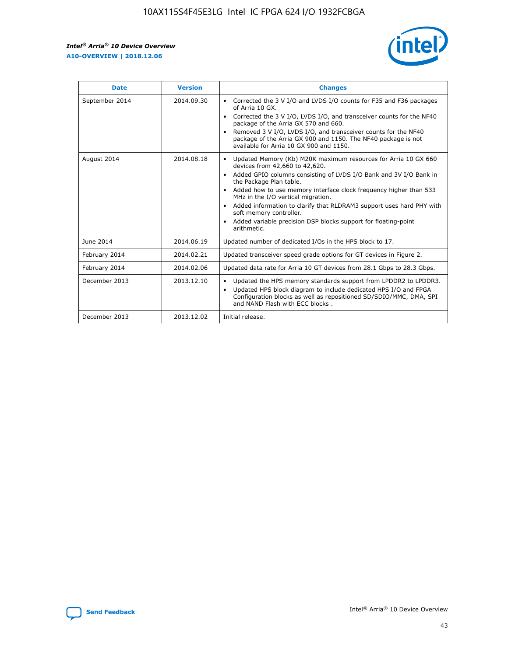r



| <b>Date</b>    | <b>Version</b> | <b>Changes</b>                                                                                                                                                                                                                                                                                                                                                                                                                                                                                                                         |
|----------------|----------------|----------------------------------------------------------------------------------------------------------------------------------------------------------------------------------------------------------------------------------------------------------------------------------------------------------------------------------------------------------------------------------------------------------------------------------------------------------------------------------------------------------------------------------------|
| September 2014 | 2014.09.30     | Corrected the 3 V I/O and LVDS I/O counts for F35 and F36 packages<br>of Arria 10 GX.<br>Corrected the 3 V I/O, LVDS I/O, and transceiver counts for the NF40<br>$\bullet$<br>package of the Arria GX 570 and 660.<br>Removed 3 V I/O, LVDS I/O, and transceiver counts for the NF40<br>package of the Arria GX 900 and 1150. The NF40 package is not<br>available for Arria 10 GX 900 and 1150.                                                                                                                                       |
| August 2014    | 2014.08.18     | Updated Memory (Kb) M20K maximum resources for Arria 10 GX 660<br>devices from 42,660 to 42,620.<br>Added GPIO columns consisting of LVDS I/O Bank and 3V I/O Bank in<br>$\bullet$<br>the Package Plan table.<br>Added how to use memory interface clock frequency higher than 533<br>$\bullet$<br>MHz in the I/O vertical migration.<br>Added information to clarify that RLDRAM3 support uses hard PHY with<br>$\bullet$<br>soft memory controller.<br>Added variable precision DSP blocks support for floating-point<br>arithmetic. |
| June 2014      | 2014.06.19     | Updated number of dedicated I/Os in the HPS block to 17.                                                                                                                                                                                                                                                                                                                                                                                                                                                                               |
| February 2014  | 2014.02.21     | Updated transceiver speed grade options for GT devices in Figure 2.                                                                                                                                                                                                                                                                                                                                                                                                                                                                    |
| February 2014  | 2014.02.06     | Updated data rate for Arria 10 GT devices from 28.1 Gbps to 28.3 Gbps.                                                                                                                                                                                                                                                                                                                                                                                                                                                                 |
| December 2013  | 2013.12.10     | Updated the HPS memory standards support from LPDDR2 to LPDDR3.<br>Updated HPS block diagram to include dedicated HPS I/O and FPGA<br>$\bullet$<br>Configuration blocks as well as repositioned SD/SDIO/MMC, DMA, SPI<br>and NAND Flash with ECC blocks.                                                                                                                                                                                                                                                                               |
| December 2013  | 2013.12.02     | Initial release.                                                                                                                                                                                                                                                                                                                                                                                                                                                                                                                       |